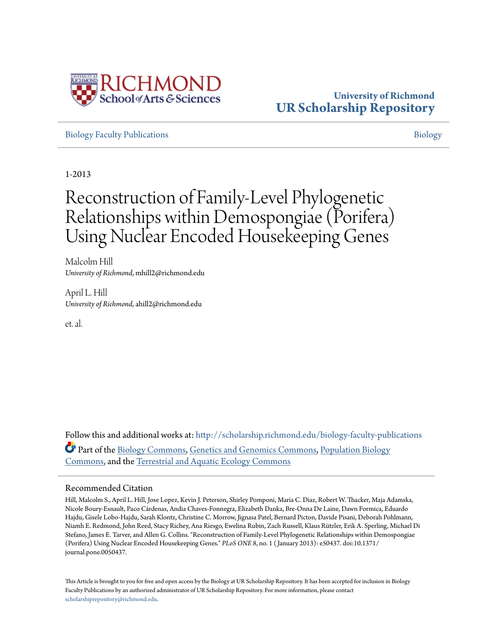

## **University of Richmond [UR Scholarship Repository](http://scholarship.richmond.edu?utm_source=scholarship.richmond.edu%2Fbiology-faculty-publications%2F22&utm_medium=PDF&utm_campaign=PDFCoverPages)**

[Biology Faculty Publications](http://scholarship.richmond.edu/biology-faculty-publications?utm_source=scholarship.richmond.edu%2Fbiology-faculty-publications%2F22&utm_medium=PDF&utm_campaign=PDFCoverPages) and the state of the state of the state of the state of the [Biology](http://scholarship.richmond.edu/biology?utm_source=scholarship.richmond.edu%2Fbiology-faculty-publications%2F22&utm_medium=PDF&utm_campaign=PDFCoverPages) Biology Biology

1-2013

# Reconstruction of Family-Level Phylogenetic Relationships within Demospongiae (Porifera) Using Nuclear Encoded Housekeeping Genes

Malcolm Hill *University of Richmond*, mhill2@richmond.edu

April L. Hill *University of Richmond*, ahill2@richmond.edu

et. al.

Follow this and additional works at: [http://scholarship.richmond.edu/biology-faculty-publications](http://scholarship.richmond.edu/biology-faculty-publications?utm_source=scholarship.richmond.edu%2Fbiology-faculty-publications%2F22&utm_medium=PDF&utm_campaign=PDFCoverPages) Part of the [Biology Commons,](http://network.bepress.com/hgg/discipline/41?utm_source=scholarship.richmond.edu%2Fbiology-faculty-publications%2F22&utm_medium=PDF&utm_campaign=PDFCoverPages) [Genetics and Genomics Commons](http://network.bepress.com/hgg/discipline/27?utm_source=scholarship.richmond.edu%2Fbiology-faculty-publications%2F22&utm_medium=PDF&utm_campaign=PDFCoverPages), [Population Biology](http://network.bepress.com/hgg/discipline/19?utm_source=scholarship.richmond.edu%2Fbiology-faculty-publications%2F22&utm_medium=PDF&utm_campaign=PDFCoverPages) [Commons,](http://network.bepress.com/hgg/discipline/19?utm_source=scholarship.richmond.edu%2Fbiology-faculty-publications%2F22&utm_medium=PDF&utm_campaign=PDFCoverPages) and the [Terrestrial and Aquatic Ecology Commons](http://network.bepress.com/hgg/discipline/20?utm_source=scholarship.richmond.edu%2Fbiology-faculty-publications%2F22&utm_medium=PDF&utm_campaign=PDFCoverPages)

## Recommended Citation

Hill, Malcolm S., April L. Hill, Jose Lopez, Kevin J. Peterson, Shirley Pomponi, Maria C. Diaz, Robert W. Thacker, Maja Adamska, Nicole Boury-Esnault, Paco Cárdenas, Andia Chaves-Fonnegra, Elizabeth Danka, Bre-Onna De Laine, Dawn Formica, Eduardo Hajdu, Gisele Lobo-Hajdu, Sarah Klontz, Christine C. Morrow, Jignasa Patel, Bernard Picton, Davide Pisani, Deborah Pohlmann, Niamh E. Redmond, John Reed, Stacy Richey, Ana Riesgo, Ewelina Rubin, Zach Russell, Klaus Rützler, Erik A. Sperling, Michael Di Stefano, James E. Tarver, and Allen G. Collins. "Reconstruction of Family-Level Phylogenetic Relationships within Demospongiae (Porifera) Using Nuclear Encoded Housekeeping Genes." *PLoS ONE* 8, no. 1 ( January 2013): e50437. doi:10.1371/ journal.pone.0050437.

This Article is brought to you for free and open access by the Biology at UR Scholarship Repository. It has been accepted for inclusion in Biology Faculty Publications by an authorized administrator of UR Scholarship Repository. For more information, please contact [scholarshiprepository@richmond.edu.](mailto:scholarshiprepository@richmond.edu)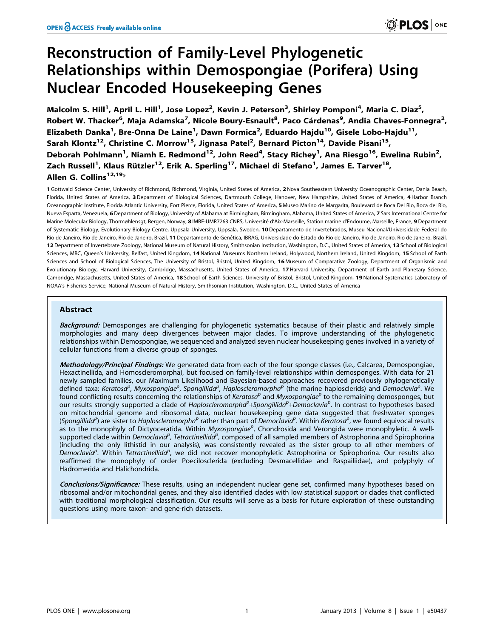## Reconstruction of Family-Level Phylogenetic Relationships within Demospongiae (Porifera) Using Nuclear Encoded Housekeeping Genes

Malcolm S. Hill<sup>1</sup>, April L. Hill<sup>1</sup>, Jose Lopez<sup>2</sup>, Kevin J. Peterson<sup>3</sup>, Shirley Pomponi<sup>4</sup>, Maria C. Diaz<sup>5</sup>, Robert W. Thacker<sup>6</sup>, Maja Adamska<sup>7</sup>, Nicole Boury-Esnault<sup>8</sup>, Paco Cárdenas<sup>9</sup>, Andia Chaves-Fonnegra<sup>2</sup>, Elizabeth Danka<sup>1</sup>, Bre-Onna De Laine<sup>1</sup>, Dawn Formica<sup>2</sup>, Eduardo Hajdu<sup>10</sup>, Gisele Lobo-Hajdu<sup>11</sup>, Sarah Klontz<sup>12</sup>, Christine C. Morrow<sup>13</sup>, Jignasa Patel<sup>2</sup>, Bernard Picton<sup>14</sup>, Davide Pisani<sup>15</sup>, Deborah Pohlmann<sup>1</sup>, Niamh E. Redmond<sup>12</sup>, John Reed<sup>4</sup>, Stacy Richey<sup>1</sup>, Ana Riesgo<sup>16</sup>, Ewelina Rubin<sup>2</sup>, Zach Russell<sup>1</sup>, Klaus Rützler<sup>12</sup>, Erik A. Sperling<sup>17</sup>, Michael di Stefano<sup>1</sup>, James E. Tarver<sup>18</sup>, Allen G. Collins<sup>12,19\*</sup>

1 Gottwald Science Center, University of Richmond, Richmond, Virginia, United States of America, 2Nova Southeastern University Oceanographic Center, Dania Beach, Florida, United States of America, 3 Department of Biological Sciences, Dartmouth College, Hanover, New Hampshire, United States of America, 4 Harbor Branch Oceanographic Institute, Florida Atlantic University, Fort Pierce, Florida, United States of America, 5 Museo Marino de Margarita, Boulevard de Boca Del Rio, Boca del Rio, Nueva Esparta, Venezuela, 6 Department of Biology, University of Alabama at Birmingham, Birmingham, Alabama, United States of America, 7 Sars International Centre for Marine Molecular Biology, Thormøhlensgt, Bergen, Norway, 8 IMBE-UMR7263 CNRS, Université d'Aix-Marseille, Station marine d'Endoume, Marseille, France, 9 Department of Systematic Biology, Evolutionary Biology Centre, Uppsala University, Uppsala, Sweden, 10 Departamento de Invertebrados, Museu Nacional/Universidade Federal do Rio de Janeiro, Rio de Janeiro, Rio de Janeiro, Brazil, 11 Departamento de Genética, IBRAG, Universidade do Estado do Rio de Janeiro, Rio de Janeiro, Rio de Janeiro, Brazil, 12 Department of Invertebrate Zoology, National Museum of Natural History, Smithsonian Institution, Washington, D.C., United States of America, 13 School of Biological Sciences, MBC, Queen's University, Belfast, United Kingdom, 14 National Museums Northern Ireland, Holywood, Northern Ireland, United Kingdom, 15 School of Earth Sciences and School of Biological Sciences, The University of Bristol, Bristol, United Kingdom, 16 Museum of Comparative Zoology, Department of Organismic and Evolutionary Biology, Harvard University, Cambridge, Massachusetts, United States of America, 17 Harvard University, Department of Earth and Planetary Science, Cambridge, Massachusetts, United States of America, 18 School of Earth Sciences, University of Bristol, Bristol, United Kingdom, 19National Systematics Laboratory of NOAA's Fisheries Service, National Museum of Natural History, Smithsonian Institution, Washington, D.C., United States of America

## Abstract

Background: Demosponges are challenging for phylogenetic systematics because of their plastic and relatively simple morphologies and many deep divergences between major clades. To improve understanding of the phylogenetic relationships within Demospongiae, we sequenced and analyzed seven nuclear housekeeping genes involved in a variety of cellular functions from a diverse group of sponges.

Methodology/Principal Findings: We generated data from each of the four sponge classes (i.e., Calcarea, Demospongiae, Hexactinellida, and Homoscleromorpha), but focused on family-level relationships within demosponges. With data for 21 newly sampled families, our Maximum Likelihood and Bayesian-based approaches recovered previously phylogenetically defined taxa: Keratosa<sup>p</sup>, Myxospongiae<sup>p</sup>, Spongillida<sup>p</sup>, Haploscleromorpha<sup>p</sup> (the marine haplosclerids) and Democlavia<sup>p</sup>. We found conflicting results concerning the relationships of Keratosa<sup>p</sup> and Myxospongiae<sup>p</sup> to the remaining demosponges, but our results strongly supported a clade of Haploscleromorpha<sup>p</sup>+Spongillida<sup>p</sup>+Democlavia<sup>p</sup>. In contrast to hypotheses based on mitochondrial genome and ribosomal data, nuclear housekeeping gene data suggested that freshwater sponges (Spongillida<sup>p</sup>) are sister to Haploscleromorpha<sup>p</sup> rather than part of Democlavia<sup>p</sup>. Within Keratosa<sup>p</sup>, we found equivocal results as to the monophyly of Dictyoceratida. Within Myxospongiae<sup>p</sup>, Chondrosida and Verongida were monophyletic. A wellsupported clade within Democlavia<sup>p</sup>, Tetractinellida<sup>p</sup>, composed of all sampled members of Astrophorina and Spirophorina (including the only lithistid in our analysis), was consistently revealed as the sister group to all other members of Democlavia<sup>p</sup>. Within Tetractinellida<sup>p</sup>, we did not recover monophyletic Astrophorina or Spirophorina. Our results also reaffirmed the monophyly of order Poecilosclerida (excluding Desmacellidae and Raspailiidae), and polyphyly of Hadromerida and Halichondrida.

Conclusions/Significance: These results, using an independent nuclear gene set, confirmed many hypotheses based on ribosomal and/or mitochondrial genes, and they also identified clades with low statistical support or clades that conflicted with traditional morphological classification. Our results will serve as a basis for future exploration of these outstanding questions using more taxon- and gene-rich datasets.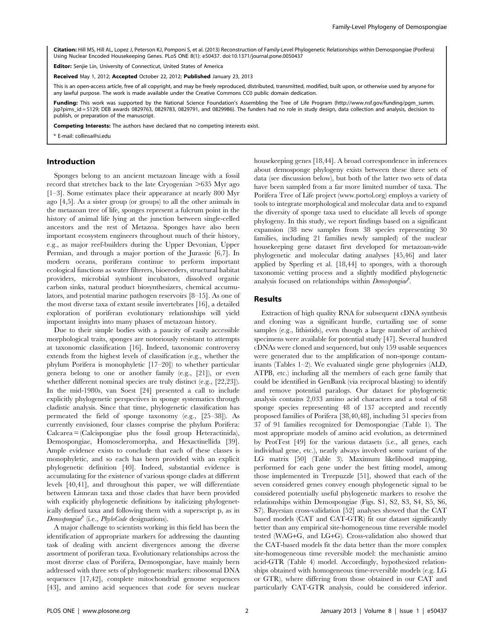Citation: Hill MS, Hill AL, Lopez J, Peterson KJ, Pomponi S, et al. (2013) Reconstruction of Family-Level Phylogenetic Relationships within Demospongiae (Porifera) Using Nuclear Encoded Housekeeping Genes. PLoS ONE 8(1): e50437. doi:10.1371/journal.pone.0050437

Editor: Senije Lin, University of Connecticut, United States of America

Received May 1, 2012; Accepted October 22, 2012; Published January 23, 2013

This is an open-access article, free of all copyright, and may be freely reproduced, distributed, transmitted, modified, built upon, or otherwise used by anyone for any lawful purpose. The work is made available under the Creative Commons CC0 public domain dedication.

**Funding:** This work was supported by the National Science Foundation's Assembling the Tree of Life Program (http://www.nsf.gov/funding/pgm\_summ. jsp?pims\_id = 5129; DEB awards 0829763, 0829783, 0829791, and 0829986). The funders had no role in study design, data collection and analysis, decision to publish, or preparation of the manuscript.

Competing Interests: The authors have declared that no competing interests exist.

E-mail: collinsa@si.edu

## Introduction

Sponges belong to an ancient metazoan lineage with a fossil record that stretches back to the late Cryogenian  $>635$  Myr ago [1–3]. Some estimates place their appearance at nearly 800 Myr ago [4,5]. As a sister group (or groups) to all the other animals in the metazoan tree of life, sponges represent a fulcrum point in the history of animal life lying at the junction between single-celled ancestors and the rest of Metazoa. Sponges have also been important ecosystem engineers throughout much of their history, e.g., as major reef-builders during the Upper Devonian, Upper Permian, and through a major portion of the Jurassic [6,7]. In modern oceans, poriferans continue to perform important ecological functions as water filterers, bioeroders, structural habitat providers, microbial symbiont incubators, dissolved organic carbon sinks, natural product biosynthesizers, chemical accumulators, and potential marine pathogen reservoirs [8–15]. As one of the most diverse taxa of extant sessile invertebrates [16], a detailed exploration of poriferan evolutionary relationships will yield important insights into many phases of metazoan history.

Due to their simple bodies with a paucity of easily accessible morphological traits, sponges are notoriously resistant to attempts at taxonomic classification [16]. Indeed, taxonomic controversy extends from the highest levels of classification (e.g., whether the phylum Porifera is monophyletic [17–20]) to whether particular genera belong to one or another family (e.g., [21]), or even whether different nominal species are truly distinct (e.g., [22,23]). In the mid-1980s, van Soest [24] presented a call to include explicitly phylogenetic perspectives in sponge systematics through cladistic analysis. Since that time, phylogenetic classification has permeated the field of sponge taxonomy (e.g., [25–38]). As currently envisioned, four classes comprise the phylum Porifera: Calcarea = (Calcispongiae plus the fossil group Heteractinida), Demospongiae, Homoscleromorpha, and Hexactinellida [39]. Ample evidence exists to conclude that each of these classes is monophyletic, and so each has been provided with an explicit phylogenetic definition [40]. Indeed, substantial evidence is accumulating for the existence of various sponge clades at different levels [40,41], and throughout this paper, we will differentiate between Linnean taxa and those clades that have been provided with explicitly phylogenetic definitions by italicizing phylogenetically defined taxa and following them with a superscript p, as in  $Demosphogiae<sup>b</sup>$  (i.e., *PhyloCode* designations).

A major challenge to scientists working in this field has been the identification of appropriate markers for addressing the daunting task of dealing with ancient divergences among the diverse assortment of poriferan taxa. Evolutionary relationships across the most diverse class of Porifera, Demospongiae, have mainly been addressed with three sets of phylogenetic markers: ribosomal DNA sequences [17,42], complete mitochondrial genome sequences [43], and amino acid sequences that code for seven nuclear housekeeping genes [18,44]. A broad correspondence in inferences about demosponge phylogeny exists between these three sets of data (see discussion below), but both of the latter two sets of data have been sampled from a far more limited number of taxa. The Porifera Tree of Life project (www.portol.org) employs a variety of tools to integrate morphological and molecular data and to expand the diversity of sponge taxa used to elucidate all levels of sponge phylogeny. In this study, we report findings based on a significant expansion (38 new samples from 38 species representing 30 families, including 21 families newly sampled) of the nuclear housekeeping gene dataset first developed for metazoan-wide phylogenetic and molecular dating analyses [45,46] and later applied by Sperling et al. [18,44] to sponges, with a thorough taxonomic vetting process and a slightly modified phylogenetic analysis focused on relationships within  $Demosphogiae^{\rho}$ .

#### Results

Extraction of high quality RNA for subsequent cDNA synthesis and cloning was a significant hurdle, curtailing use of some samples (e.g., lithistids), even though a large number of archived specimens were available for potential study [47]. Several hundred cDNAs were cloned and sequenced, but only 159 usable sequences were generated due to the amplification of non-sponge contaminants (Tables 1–2). We evaluated single gene phylogenies (ALD, ATPB, etc.) including all the members of each gene family that could be identified in GenBank (via reciprocal blasting) to identify and remove potential paralogs. Our dataset for phylogenetic analysis contains 2,033 amino acid characters and a total of 68 sponge species representing 48 of 137 accepted and recently proposed families of Porifera [38,40,48], including 51 species from 37 of 91 families recognized for Demospongiae (Table 1). The most appropriate models of amino acid evolution, as determined by ProtTest [49] for the various datasets (i.e., all genes, each individual gene, etc.), nearly always involved some variant of the LG matrix [50] (Table 3). Maximum likelihood mapping, performed for each gene under the best fitting model, among those implemented in Treepuzzle [51], showed that each of the seven considered genes convey enough phylogenetic signal to be considered potentially useful phylogenetic markers to resolve the relationships within Demospongiae (Figs. S1, S2, S3, S4, S5, S6, S7). Bayesian cross-validation [52] analyses showed that the CAT based models (CAT and CAT-GTR) fit our dataset significantly better than any empirical site-homogeneous time reversible model tested (WAG+G, and LG+G). Cross-validation also showed that the CAT-based models fit the data better than the more complex site-homogeneous time reversible model: the mechanistic amino acid-GTR (Table 4) model. Accordingly, hypothesized relationships obtained with homogeneous time-reversible models (e.g. LG or GTR), where differing from those obtained in our CAT and particularly CAT-GTR analysis, could be considered inferior.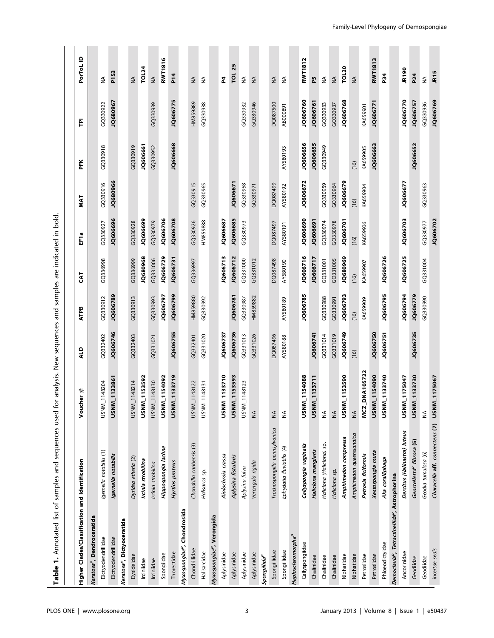| I appearance in Annonces and Sequences used for analysis. New sequences and sequences and samples are in Annonces and Annonces and the internet in the community |                                                     |                     |          |          |          |                  |             |          |          |                   |
|------------------------------------------------------------------------------------------------------------------------------------------------------------------|-----------------------------------------------------|---------------------|----------|----------|----------|------------------|-------------|----------|----------|-------------------|
|                                                                                                                                                                  |                                                     |                     |          |          |          |                  |             |          |          |                   |
| Higher Clades/Classification and Identification                                                                                                                  |                                                     | cher $#$<br>Š       | que      | ATPB     | 5<br>S   | EF <sub>1a</sub> | <b>TAIN</b> | PFK      | 흽        | PorToL ID         |
| Keratosa <sup>P</sup> , Dendroceratida                                                                                                                           |                                                     |                     |          |          |          |                  |             |          |          |                   |
| Dictyodendrillidae                                                                                                                                               | Igernella notabilis (1)                             | USNM_1148204        | GQ332402 | GQ330912 | GQ336998 | GQ330927         | GQ330916    | GQ330918 | GQ330922 | $\lessgtr$        |
| Dictyodendrillidae                                                                                                                                               | Igemella notabilis                                  | USNM_1133861        | JQ606746 | JQ606789 |          | JQ606696         | JQ680966    |          | JQ680967 | P <sub>153</sub>  |
| Keratosa <sup>p</sup> , Dictyoceratida                                                                                                                           |                                                     |                     |          |          |          |                  |             |          |          |                   |
| Dysideidae                                                                                                                                                       | Dysidea etheria (2)                                 | USNM_1148214        | GQ332403 | GQ330913 | GQ336999 | GQ330928         |             | GQ330919 |          | $\widetilde{\Xi}$ |
| Irciniidae                                                                                                                                                       | Ircinia strobilina                                  | USNM_1153592        |          |          | JQ680968 | JQ606699         |             | JQ606661 |          | <b>TOL24</b>      |
| Irciniidae                                                                                                                                                       | Ircinia strobilina                                  | USNM_1148130        | GQ331021 | GQ330993 | GQ331006 | GQ330979         |             | GQ330952 | GQ330939 | $\lessgtr$        |
| Spongiidae                                                                                                                                                       | Hippospongia lachne                                 | USNM_1154092        |          | JQ606797 | JQ606729 | JQ606706         |             |          |          | RWT1816           |
| Thorectidae                                                                                                                                                      | Hyrtios proteus                                     | USNM_1133719        | JQ606755 | JQ606799 | JQ606731 | JQ606708         |             | JQ606668 | JQ606775 | P <sub>14</sub>   |
| Myxospongiae <sup>p</sup> , Chondrosida                                                                                                                          |                                                     |                     |          |          |          |                  |             |          |          |                   |
| Chondrillidae                                                                                                                                                    | Chondrilla caribensis (3)                           | USNM_1148122        | GQ332401 | HM859880 | GQ336997 | GQ330926         | GQ330915    |          | HM859889 | $\lessgtr$        |
| Halisarcidae                                                                                                                                                     | Halisarca sp.                                       | USNM_1148131        | GQ331020 | GQ330992 |          | HM859888         | GQ330965    |          | GQ330938 | ≨                 |
| Myxospongiae <sup>p</sup> , Verongida                                                                                                                            |                                                     |                     |          |          |          |                  |             |          |          |                   |
| Aplysinidae                                                                                                                                                      | Aiolochroia crassa                                  | USNM_1133710        | JQ606737 |          | JQ606713 | JQ606687         |             |          |          | 2                 |
| Aplysinidae                                                                                                                                                      | Aplysina fistularis                                 | USNM_1153593        | JQ606736 | JQ606781 | JQ606712 | JQ606685         | JQ606671    |          |          | 25<br><b>TOL</b>  |
| Aplysinidae                                                                                                                                                      | Aplysina fulva                                      | USNM_1148123        | GQ331013 | GQ330987 | GQ331000 | GQ330973         | GQ330958    |          | GQ330932 | ₹                 |
| Aplysinidae                                                                                                                                                      | Verongula rigida                                    | $\lessgtr$          | GQ331026 | HM859882 | GQ331012 |                  | GQ330971    |          | GQ330946 | ≸                 |
| Spongillida <sup>p</sup>                                                                                                                                         |                                                     |                     |          |          |          |                  |             |          |          |                   |
| Spongillidae                                                                                                                                                     | Trochospongilla pennsylvanica                       | ≨                   | DQ087496 |          | DQ087498 | DQ087497         | DQ087499    |          | DQ087500 | ₹                 |
| Spongillidae                                                                                                                                                     | Ephydatia fluviatilis (4)                           | $\lessgtr$          | AY580188 | AY580189 | AY580190 | <b>RY580191</b>  | AY580192    | AY580193 | AB000891 | $\lessgtr$        |
| Haploscleromorpha <sup>r</sup>                                                                                                                                   |                                                     |                     |          |          |          |                  |             |          |          |                   |
| Callyspongiidae                                                                                                                                                  | Callyspongia vaginalis                              | USNM_1154088        |          | JQ606785 | JQ606716 | JQ606690         | JQ606672    | JQ606656 | JQ606760 | <b>RWT1812</b>    |
| Chalinidae                                                                                                                                                       | Haliclona manglaris                                 | USNM_1133711        | JQ606741 |          | JQ606717 | <b>1Q606691</b>  |             | JQ606655 | JQ606761 | 54                |
| Chalinidae                                                                                                                                                       | Haliclona (Haliclona) sp.                           | $\frac{1}{2}$       | GQ331014 | GQ330988 | GQ331001 | GQ330974         | GQ330959    | GQ330949 | GQ330933 | $\lessgtr$        |
| Chalinidae                                                                                                                                                       | Haliclona sp.                                       | $\sum_{i=1}^{n}$    | GQ331019 | GQ330991 | GQ331005 | GQ330978         | GQ330964    |          | GQ330937 | $\lessgtr$        |
| Niphatidae                                                                                                                                                       | Amphimedon compressa                                | USNM_1153590        | JQ606749 | JQ606793 | 1Q680969 | 1Q606701         | JQ606679    |          | JQ606768 | <b>TOL20</b>      |
| Niphatidae                                                                                                                                                       | Amphimedon queenslandica                            | $\leq$              | (16)     | (16)     | (16)     | (16)             | (16)        | (16)     |          | $\frac{1}{2}$     |
| Petrosiidae                                                                                                                                                      | Petrosia ficiformis                                 | MCZ_DNA105722       |          | KA659909 | KA659907 | KA659906         | KA659904    | KA659905 | KA659901 |                   |
| Petrosiidae                                                                                                                                                      | Xestospongia muta                                   | USNM_1154090        | JQ606750 |          |          |                  |             | JQ606663 | JQ606771 | <b>RWT1813</b>    |
| Phloeodictyidae                                                                                                                                                  | Aka coralliphaga                                    | USNM_1133740        | JQ606751 | JQ606795 | JQ606726 |                  |             |          |          | <b>P34</b>        |
| Democlavia <sup>9</sup> , Tetractinellida <sup>9</sup> , Astrophorina                                                                                            |                                                     |                     |          |          |          |                  |             |          |          |                   |
| Ancorinidae                                                                                                                                                      | Dercitus (Halinastra) luteus                        | USNM_1175047        |          | JQ606794 | JQ606725 | JQ606703         | JQ606677    |          | JQ606770 | JR190             |
| Geodiidae                                                                                                                                                        | $\overline{5}$<br>Geostelletta <sup>p</sup> fibrosa | USNM_1133730        | JQ606735 | JQ606779 |          |                  |             | JQ606652 | JQ606757 | P24               |
| Geodiidae                                                                                                                                                        | Geodia tumulosa (6)                                 | ≨                   |          | GQ330990 | GQ331004 | GQ330977         | GQ330963    |          | GQ330936 | ≨                 |
| incertae sedis                                                                                                                                                   | Characella aff. connectens (7)                      | <b>USNM_1175067</b> |          |          |          | JQ606702         |             |          | JQ606769 | JR <sub>15</sub>  |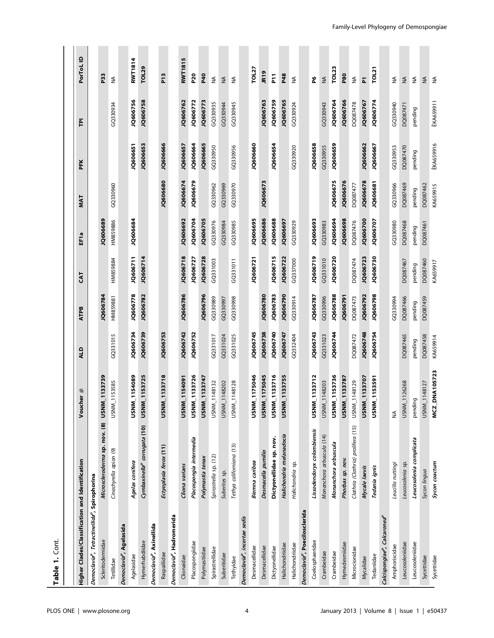| Table 1. Cont.                                                        |                                          |                      |          |             |           |                  |          |                  |                  |                      |
|-----------------------------------------------------------------------|------------------------------------------|----------------------|----------|-------------|-----------|------------------|----------|------------------|------------------|----------------------|
|                                                                       |                                          |                      |          |             |           |                  |          |                  |                  |                      |
| Higher Clades/Classification and Identification                       |                                          | Voucher #            | ALD      | <b>ATPB</b> | <b>ES</b> | EF <sub>1a</sub> | MAT      | PFK              | 흔                | PorToL <sub>ID</sub> |
| Democlavia <sup>9</sup> , Tetractinellida <sup>9</sup> , Spirophorina |                                          |                      |          |             |           |                  |          |                  |                  |                      |
| Scleritodermidae                                                      | Microscleroderma sp. nov. (8)            | USNM_1133739         |          | JQ606784    |           | JQ606689         |          |                  |                  | P33                  |
| Tetillidae                                                            | Cinachyrella apion (9)                   | USNM_1153585         | GQ331015 | HM859881    | HM859884  | HM859886         | GQ330960 |                  | GQ330934         | $\lessgtr$           |
| Democlavia <sup>P</sup> , Agelasida                                   |                                          |                      |          |             |           |                  |          |                  |                  |                      |
| Agelasidae                                                            | Agelas conifera                          | USNM_1154089         | JQ606734 | JQ606778    | JQ606711  | 1Q606684         |          | JQ606651         | JQ606756         | <b>RWT1814</b>       |
| Hymerhabdiidae                                                        | Cymbaxinella <sup>p</sup> corrugata (10) | USNM_1153725         | JQ606739 | JQ606782    | JQ606714  |                  |          | JQ606653         | JQ606758         | <b>TOL29</b>         |
| Democlavia <sup>p</sup> , Axinellida                                  |                                          |                      |          |             |           |                  |          |                  |                  |                      |
| Raspailiidae                                                          | Ectyoplasia ferox (11)                   | USNM_1133718         | JQ606753 |             |           |                  | JQ606680 | JQ606666         |                  | <u>բե</u>            |
| Democlavia <sup>P</sup> , Hadromerida                                 |                                          |                      |          |             |           |                  |          |                  |                  |                      |
| Clionaidae                                                            | Cliona varians                           | USNM_1154091         | JQ606742 | JQ606786    | JQ606718  | JQ606692         | JQ606674 | JQ606657         | JQ606762         | <b>RWT1815</b>       |
| Placospongiidae                                                       | Placospongia intermedia                  | USNM_1133726         | JQ606752 |             | JQ606727  | 1Q606704         | JQ606679 | 1Q606664         | JQ606772         | P20                  |
| Polymastiidae                                                         | Polymastia tenax                         | USNM_1133747         |          | JQ606796    | JQ606728  | JQ606705         |          | JQ606665         | JQ606773         | <b>P40</b>           |
| Spirastrellidae                                                       | Spirastrella sp. (12)                    | USNM_1148132         | GQ331017 | GQ330989    | GQ331003  | GQ330976         | GQ330962 | GQ330950         | GQ330935         | ₹                    |
| Suberitidae                                                           | Suberites sp.                            | USNM_1148202         | GQ331024 | GQ330997    |           | GQ330984         | GQ330969 |                  | GQ330944         | $\lessgtr$           |
| Tethyidae                                                             | Tethya californiana (13)                 | USNM_1148128         | GQ331025 | GQ330998    | GQ331011  | GQ330985         | GQ330970 | GQ330956         | GQ330945         | $\lessgtr$           |
| Democlavia <sup>P</sup> , incertae sedis                              |                                          |                      |          |             |           |                  |          |                  |                  |                      |
| Desmacellidae                                                         | Biemna caribea                           | USNM_1175046         | JQ606745 |             | JQ606721  | JQ606695         |          | JQ606660         |                  | <b>TOL27</b>         |
| Desmacellidae                                                         | Desmacella pumilio                       | USNM_1175045         | JQ606738 | JQ606780    |           | JQ606686         | JQ606673 |                  | JQ606763         | JR <sub>19</sub>     |
| Dictyonellidae                                                        | Dictyonellidae sp. nov.                  | USNM_1133716         | JQ606740 | JQ606783    | JQ606715  | JQ606688         |          | JQ606654         | JQ606759         | 됴                    |
| Halichondriidae                                                       | Halichondria melanadocia                 | USNM_1133755         | JQ606747 | JQ606790    | JQ606722  | JQ606697         |          |                  | JQ606765         | P48                  |
| Halichondriidae                                                       | Halichondria sp.                         |                      | GQ332404 | GQ330914    | GQ337000  | GQ330929         |          | GQ330920         | GQ330924         | ₹                    |
| Democlavia <sup>P</sup> , Poecilosclerida                             |                                          |                      |          |             |           |                  |          |                  |                  |                      |
| Coelosphaeridae                                                       | Lissodendoryx colombiensis               | USNM_1133712         | JQ606743 | JQ606787    | JQ606719  | JQ606693         |          | JQ606658         |                  | 6                    |
| Crambeidae                                                            | Monanchora arbuscula (14)                | USNM_1148203         | GQ331023 | GQ330996    | GQ331010  | GQ330983         |          | GQ330955         | GQ330943         | ≨                    |
| Crambeidae                                                            | Monanchora arbuscula                     | USNM_1153736         | JQ606744 | JQ606788    | JQ606720  | 1Q606694         | JQ606675 | JQ606659         | 1Q606764         | <b>TOL23</b>         |
| Hymedesmiidae                                                         | Phorbas sp. nov.                         | USNM_1133787         |          | JQ606791    |           | JQ606698         | JQ606676 |                  | JQ606766         | P80                  |
| Microcionidae                                                         | Clathria (Clathria) prolifera (15)       | USNM_1148129         | DQ087472 | DQ087473    | DQ087474  | DQ087476         | DQ087477 |                  | DQ087478         | $\lessgtr$           |
| Mycalidae                                                             | Mycale laevis                            | USNM_1133707         | JQ606748 | JQ606792    | JQ606723  | JQ606700         | JQ606678 | JQ606662         | JQ606767         | $\overline{a}$       |
| Tedaniidae                                                            | Tedania ignis                            | USNM_1153591         | JQ606754 | JQ606798    | JQ606730  | JQ606707         | JQ606681 | JQ606667         | JQ606774         | TOL21                |
| Calcispongiae <sup>p</sup> , Calcaronea <sup>p</sup>                  |                                          |                      |          |             |           |                  |          |                  |                  |                      |
| Amphoriscidae                                                         | Leucilla nuttingi                        | ≨                    |          | GQ330994    |           | GQ330980         | GQ330966 | GQ330953         | GQ330940         | ₹                    |
| Leucosoleniidae                                                       | Leucosolenia sp.                         | USNM_1126268         | DQ087465 | DQ087466    | DQ087467  | DQ087468         | DQ087469 | DQ087470         | DQ087471         | $\lessgtr$           |
| Leucosoleniidae                                                       | Leucosolenia complicata                  | pending              | pending  | pending     | pending   | pending          | pending  | pending          | pending          | ₹                    |
| Sycettidae                                                            | Sycon lingua                             | USNM_1148127         | DQ087458 | DQ087459    | DQ087460  | DQ087461         | DQ087462 |                  |                  | $\lessgtr$           |
| Sycettidae                                                            | Sycon coactum                            | <b>MCZ_DNA105723</b> | KA659914 |             | KA659917  |                  | KA659915 | <b>ÊKA659916</b> | <b>ÊKA659911</b> | $\lessgtr$           |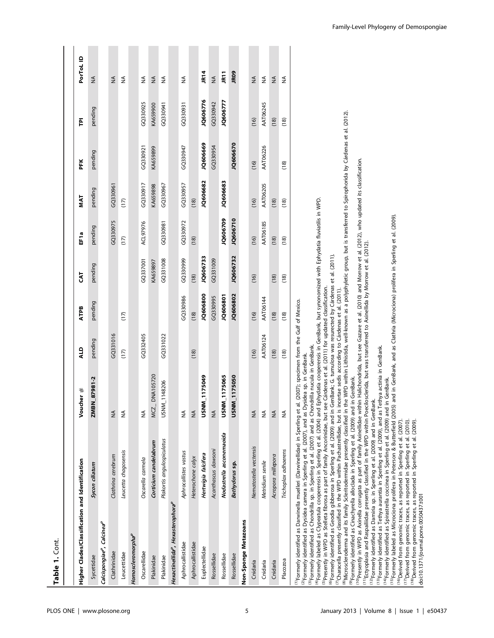| Table 1. Cont.                                            |                                                                                                                                                                                                                                                                                                                                                                                                                                                                                                                                                                                                                                                                                                                                                                                                                                                                                                                                                                                                                                                                                                                                                                                                                                                                                                                                                                                                                                                                                                                                                                                                                                                                                                                                                                                                                                                                                                                                                                                                                                                                                                                                                                        |                                                                                                                                                                                                                                                                                                                                        |          |             |            |          |          |          |          |               |
|-----------------------------------------------------------|------------------------------------------------------------------------------------------------------------------------------------------------------------------------------------------------------------------------------------------------------------------------------------------------------------------------------------------------------------------------------------------------------------------------------------------------------------------------------------------------------------------------------------------------------------------------------------------------------------------------------------------------------------------------------------------------------------------------------------------------------------------------------------------------------------------------------------------------------------------------------------------------------------------------------------------------------------------------------------------------------------------------------------------------------------------------------------------------------------------------------------------------------------------------------------------------------------------------------------------------------------------------------------------------------------------------------------------------------------------------------------------------------------------------------------------------------------------------------------------------------------------------------------------------------------------------------------------------------------------------------------------------------------------------------------------------------------------------------------------------------------------------------------------------------------------------------------------------------------------------------------------------------------------------------------------------------------------------------------------------------------------------------------------------------------------------------------------------------------------------------------------------------------------------|----------------------------------------------------------------------------------------------------------------------------------------------------------------------------------------------------------------------------------------------------------------------------------------------------------------------------------------|----------|-------------|------------|----------|----------|----------|----------|---------------|
|                                                           |                                                                                                                                                                                                                                                                                                                                                                                                                                                                                                                                                                                                                                                                                                                                                                                                                                                                                                                                                                                                                                                                                                                                                                                                                                                                                                                                                                                                                                                                                                                                                                                                                                                                                                                                                                                                                                                                                                                                                                                                                                                                                                                                                                        |                                                                                                                                                                                                                                                                                                                                        |          |             |            |          |          |          |          |               |
| Higher Clades/Classification and Identification           |                                                                                                                                                                                                                                                                                                                                                                                                                                                                                                                                                                                                                                                                                                                                                                                                                                                                                                                                                                                                                                                                                                                                                                                                                                                                                                                                                                                                                                                                                                                                                                                                                                                                                                                                                                                                                                                                                                                                                                                                                                                                                                                                                                        | Voucher #                                                                                                                                                                                                                                                                                                                              | gTV      | <b>ATPB</b> | <b>EAT</b> | EF1a     | MAT      | FK       | 흔        | PorToL ID     |
| Sycettidae                                                | Sycon ciliatum                                                                                                                                                                                                                                                                                                                                                                                                                                                                                                                                                                                                                                                                                                                                                                                                                                                                                                                                                                                                                                                                                                                                                                                                                                                                                                                                                                                                                                                                                                                                                                                                                                                                                                                                                                                                                                                                                                                                                                                                                                                                                                                                                         | ZMBN_87981-2                                                                                                                                                                                                                                                                                                                           | pending  | pending     | pending    | pending  | pending  | pending  | pending  | ≨             |
| Calcispongiae <sup>p</sup> , Calcinea <sup>p</sup>        |                                                                                                                                                                                                                                                                                                                                                                                                                                                                                                                                                                                                                                                                                                                                                                                                                                                                                                                                                                                                                                                                                                                                                                                                                                                                                                                                                                                                                                                                                                                                                                                                                                                                                                                                                                                                                                                                                                                                                                                                                                                                                                                                                                        |                                                                                                                                                                                                                                                                                                                                        |          |             |            |          |          |          |          |               |
| Clathrinidae                                              | Clathrina cerebrum                                                                                                                                                                                                                                                                                                                                                                                                                                                                                                                                                                                                                                                                                                                                                                                                                                                                                                                                                                                                                                                                                                                                                                                                                                                                                                                                                                                                                                                                                                                                                                                                                                                                                                                                                                                                                                                                                                                                                                                                                                                                                                                                                     | $\mathop{\leq}\limits_{\mathop{\bf Z}}$                                                                                                                                                                                                                                                                                                | GQ331016 |             |            | GQ330975 | GQ330961 |          |          | $\lessgtr$    |
| Leucettidae                                               | Leucetta chagosensis                                                                                                                                                                                                                                                                                                                                                                                                                                                                                                                                                                                                                                                                                                                                                                                                                                                                                                                                                                                                                                                                                                                                                                                                                                                                                                                                                                                                                                                                                                                                                                                                                                                                                                                                                                                                                                                                                                                                                                                                                                                                                                                                                   | $\frac{4}{2}$                                                                                                                                                                                                                                                                                                                          | (17)     | (17)        |            | (17)     | (17)     |          |          | $\lessgtr$    |
| Homoscleromorpha <sup>p</sup>                             |                                                                                                                                                                                                                                                                                                                                                                                                                                                                                                                                                                                                                                                                                                                                                                                                                                                                                                                                                                                                                                                                                                                                                                                                                                                                                                                                                                                                                                                                                                                                                                                                                                                                                                                                                                                                                                                                                                                                                                                                                                                                                                                                                                        |                                                                                                                                                                                                                                                                                                                                        |          |             |            |          |          |          |          |               |
| Oscarellidae                                              | Oscarella carmela                                                                                                                                                                                                                                                                                                                                                                                                                                                                                                                                                                                                                                                                                                                                                                                                                                                                                                                                                                                                                                                                                                                                                                                                                                                                                                                                                                                                                                                                                                                                                                                                                                                                                                                                                                                                                                                                                                                                                                                                                                                                                                                                                      | $\frac{1}{2}$                                                                                                                                                                                                                                                                                                                          | GQ332405 |             | GQ337001   | ACL97976 | GQ330917 | GQ330921 | GQ330925 | ₹             |
| Plakinidae                                                | Corticium candelabrum                                                                                                                                                                                                                                                                                                                                                                                                                                                                                                                                                                                                                                                                                                                                                                                                                                                                                                                                                                                                                                                                                                                                                                                                                                                                                                                                                                                                                                                                                                                                                                                                                                                                                                                                                                                                                                                                                                                                                                                                                                                                                                                                                  | DNA105720<br>MCZ.                                                                                                                                                                                                                                                                                                                      |          |             | KA659897   |          | KA659898 | KA659899 | KA659900 | $\lessgtr$    |
| Plakinidae                                                | Plakortis angulospiculatus                                                                                                                                                                                                                                                                                                                                                                                                                                                                                                                                                                                                                                                                                                                                                                                                                                                                                                                                                                                                                                                                                                                                                                                                                                                                                                                                                                                                                                                                                                                                                                                                                                                                                                                                                                                                                                                                                                                                                                                                                                                                                                                                             | USNM_1148206                                                                                                                                                                                                                                                                                                                           | GQ331022 |             | GQ331008   | GQ330981 | GQ330967 |          | GQ330941 | ₹             |
| Hexactinellida <sup>p</sup> , Hexasterophora <sup>p</sup> |                                                                                                                                                                                                                                                                                                                                                                                                                                                                                                                                                                                                                                                                                                                                                                                                                                                                                                                                                                                                                                                                                                                                                                                                                                                                                                                                                                                                                                                                                                                                                                                                                                                                                                                                                                                                                                                                                                                                                                                                                                                                                                                                                                        |                                                                                                                                                                                                                                                                                                                                        |          |             |            |          |          |          |          |               |
| Aphrocallistidae                                          | Aphrocallistes vastus                                                                                                                                                                                                                                                                                                                                                                                                                                                                                                                                                                                                                                                                                                                                                                                                                                                                                                                                                                                                                                                                                                                                                                                                                                                                                                                                                                                                                                                                                                                                                                                                                                                                                                                                                                                                                                                                                                                                                                                                                                                                                                                                                  | $\frac{1}{2}$                                                                                                                                                                                                                                                                                                                          |          | GQ330986    | GQ330999   | GQ330972 | GQ330957 | GQ330947 | GQ330931 | ₹             |
| Aphrocallistidae                                          | Heterochone calyx                                                                                                                                                                                                                                                                                                                                                                                                                                                                                                                                                                                                                                                                                                                                                                                                                                                                                                                                                                                                                                                                                                                                                                                                                                                                                                                                                                                                                                                                                                                                                                                                                                                                                                                                                                                                                                                                                                                                                                                                                                                                                                                                                      | $\frac{1}{2}$                                                                                                                                                                                                                                                                                                                          | (18)     | (18)        | (18)       | (18)     | (18)     |          |          |               |
| Euplectellidae                                            | Hertwigia falcifera                                                                                                                                                                                                                                                                                                                                                                                                                                                                                                                                                                                                                                                                                                                                                                                                                                                                                                                                                                                                                                                                                                                                                                                                                                                                                                                                                                                                                                                                                                                                                                                                                                                                                                                                                                                                                                                                                                                                                                                                                                                                                                                                                    | USNM_1175049                                                                                                                                                                                                                                                                                                                           |          | JQ606800    | JQ606733   |          | JQ606682 | JQ606669 | JQ606776 | JR14          |
| Rossellidae                                               | Acanthascus dawsoni                                                                                                                                                                                                                                                                                                                                                                                                                                                                                                                                                                                                                                                                                                                                                                                                                                                                                                                                                                                                                                                                                                                                                                                                                                                                                                                                                                                                                                                                                                                                                                                                                                                                                                                                                                                                                                                                                                                                                                                                                                                                                                                                                    | $\frac{4}{2}$                                                                                                                                                                                                                                                                                                                          |          | GQ330995    | GQ331009   |          |          | GQ330954 | GQ330942 | $\frac{4}{2}$ |
| Rossellidae                                               | Nodastrella asconemaoida                                                                                                                                                                                                                                                                                                                                                                                                                                                                                                                                                                                                                                                                                                                                                                                                                                                                                                                                                                                                                                                                                                                                                                                                                                                                                                                                                                                                                                                                                                                                                                                                                                                                                                                                                                                                                                                                                                                                                                                                                                                                                                                                               | USNM_1175065                                                                                                                                                                                                                                                                                                                           |          | JQ606801    |            | JQ606709 | JQ606683 |          | JQ606777 | JR11          |
| Rossellidae                                               | Bathydorus sp.                                                                                                                                                                                                                                                                                                                                                                                                                                                                                                                                                                                                                                                                                                                                                                                                                                                                                                                                                                                                                                                                                                                                                                                                                                                                                                                                                                                                                                                                                                                                                                                                                                                                                                                                                                                                                                                                                                                                                                                                                                                                                                                                                         | USNM_1175050                                                                                                                                                                                                                                                                                                                           |          | JQ606802    | JQ606732   | JQ606710 |          | JQ606670 |          | <b>JRO9</b>   |
| Non-Sponge Metazoans                                      |                                                                                                                                                                                                                                                                                                                                                                                                                                                                                                                                                                                                                                                                                                                                                                                                                                                                                                                                                                                                                                                                                                                                                                                                                                                                                                                                                                                                                                                                                                                                                                                                                                                                                                                                                                                                                                                                                                                                                                                                                                                                                                                                                                        |                                                                                                                                                                                                                                                                                                                                        |          |             |            |          |          |          |          |               |
| Cnidaria                                                  | Nematostella vectensis                                                                                                                                                                                                                                                                                                                                                                                                                                                                                                                                                                                                                                                                                                                                                                                                                                                                                                                                                                                                                                                                                                                                                                                                                                                                                                                                                                                                                                                                                                                                                                                                                                                                                                                                                                                                                                                                                                                                                                                                                                                                                                                                                 | $\frac{4}{2}$                                                                                                                                                                                                                                                                                                                          | (16)     | (16)        | (16)       | (16)     | (16)     | (16)     | (16)     | $\lessgtr$    |
| Cnidaria                                                  | Metridium senile                                                                                                                                                                                                                                                                                                                                                                                                                                                                                                                                                                                                                                                                                                                                                                                                                                                                                                                                                                                                                                                                                                                                                                                                                                                                                                                                                                                                                                                                                                                                                                                                                                                                                                                                                                                                                                                                                                                                                                                                                                                                                                                                                       | $\stackrel{\leq}{\geq}$                                                                                                                                                                                                                                                                                                                | AAT06124 | AAT06144    |            | AAT06185 | AAT06205 | AAT06226 | AAT06245 | ₹             |
| Cnidaria                                                  | Acropora millepora                                                                                                                                                                                                                                                                                                                                                                                                                                                                                                                                                                                                                                                                                                                                                                                                                                                                                                                                                                                                                                                                                                                                                                                                                                                                                                                                                                                                                                                                                                                                                                                                                                                                                                                                                                                                                                                                                                                                                                                                                                                                                                                                                     | $\frac{4}{5}$                                                                                                                                                                                                                                                                                                                          | (18)     | (18)        | (18)       | (18)     | (18)     |          | (18)     | ₹             |
| Placozoa                                                  | Trichoplax adhaerens                                                                                                                                                                                                                                                                                                                                                                                                                                                                                                                                                                                                                                                                                                                                                                                                                                                                                                                                                                                                                                                                                                                                                                                                                                                                                                                                                                                                                                                                                                                                                                                                                                                                                                                                                                                                                                                                                                                                                                                                                                                                                                                                                   | $\stackrel{\leq}{\geq}$                                                                                                                                                                                                                                                                                                                | (18)     | (18)        | (18)       | (18)     | (18)     | (18)     | (18)     | ₹             |
| doi:10.1371/journal.pone.0050437.t001                     | <sup>(10</sup> Presently in WPD as Axinella corrugata as part of family Axinellidae within Halichondrida, but see Gazave et al. (2010) and Morrow et al. (2012), who updated its classification.<br><sup>11</sup> Ectyoplasia and Raspailiidae presently classified in the WPD within Poecilosclerida, but was transferred to Axinellida by Morrow et al. (2012)<br><sup>(6)</sup> Formerly identified as Geodia gibberosa in Sperling et al. (2009) and in GenBank; G. tumulosa was resurected by Cárdenas et al. (2011)<br><sup>(S)</sup> Presently in WPD as Stelleta fibrosa as part of family Ancorinidae, but see Cárdenas et al. (2011) for updated classification.<br>${}^{\prime\prime}$ Characella presently classified in the WPD within Pachastrellidae, but is incertae sedis according to Cárdenas et al. (2011).<br><sup>(1)</sup> Formerly identified as Darwinella muelleri (Darwinellidae) in Sperling et al. (2007); specimen from the Gulf of Mexico.<br><sup>(3)</sup> Formerly identified as Chondrilla sp. in Sperling et al. (2007) and as Chondrilla nucula in GenBank.<br><sup>(13)</sup> Formerly identified as Tethya aurantia in Sperling et al. (2009), and as Tethya actinia in GenBank.<br><sup>(2)</sup> Formerly identified as Dysidea camera in Sperling et al. (2007), and as Dysidea sp. in GenBank.<br>(12)Formerly identified as Damiria sp. in Sperling et al. (2009) and in GenBank.<br><sup>99</sup> Formerly identified as Cinachyrella alloclada in Sperling et al. (2009) and<br><sup>(15)</sup> Formerly labeled as Microciona prolifera in Peterson & Butterfield (2005)<br><sup>(8)</sup> Microscleroderma and its family Scleritodermidae presently classified in t<br><sup>(14)</sup> Formerly identified as Spirastrella coccinea in Sperling et al. (2009) and<br><sup>(4)</sup> Formerly labeled as Clypeatula cooperensis in Sperling et al. (2004) and<br><sup>(16)</sup> Derived from genomic traces, as reported in Sperling et al. (2007).<br>(17) Derived from genomic traces, as reported in Sperling et al. (2010).<br><sup>(18)</sup> Derived from genomic traces, as reported in Sperling et al. (2009) | he WPD within Lithistida, well-known as a polyphyletic group, but is transferred to Spirophorida by Cárdenas et al. (2012).<br>Ephydatia cooperensis in GenBank, but synonomized with Ephydatia fluviatilis in WPD.<br>and in GenBank, and as Clathria (Microciona) prolifera in Sperling et al. (2009).<br>in GenBank.<br>in GenBank. |          |             |            |          |          |          |          |               |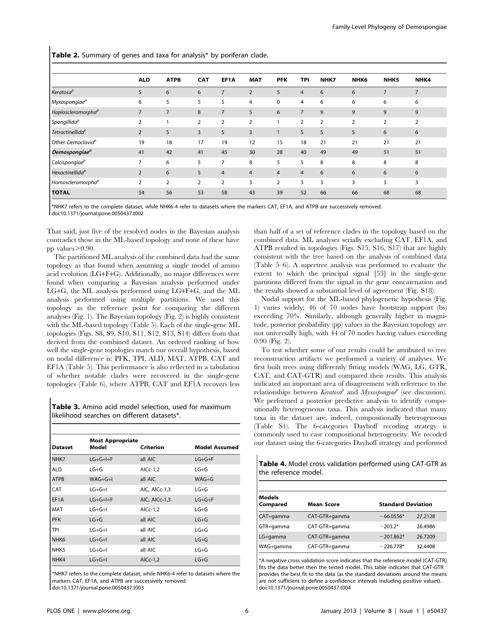Table 2. Summary of genes and taxa for analysis\* by poriferan clade.

|                                | <b>ALD</b>     | <b>ATPB</b>    | <b>CAT</b>     | EF1A           | <b>MAT</b>     | <b>PFK</b>     | <b>TPI</b>     | NHK7           | NHK <sub>6</sub> | NHK <sub>5</sub> | NHK4 |
|--------------------------------|----------------|----------------|----------------|----------------|----------------|----------------|----------------|----------------|------------------|------------------|------|
| Keratosa <sup>p</sup>          | 5              | 6              | 6              | $\overline{7}$ | $\overline{2}$ | 5              | $\overline{4}$ | 6              | 6                | 7                | 7    |
| Myxospongiae <sup>p</sup>      | 6              | 5              | 5              | 5              | 4              | $\mathbf 0$    | 4              | 6              | 6                | 6                | 6    |
| Haploscleromorpha <sup>p</sup> | $\overline{7}$ | 7              | 8              | $\overline{7}$ | 5              | 6              | $\overline{7}$ | 9              | 9                | 9                | 9    |
| Spongillida <sup>p</sup>       | $\overline{2}$ |                | $\overline{2}$ | $\overline{2}$ | $\overline{2}$ |                | 2              | $\overline{2}$ | $\overline{2}$   | $\overline{2}$   | 2    |
| Tetractinellida <sup>p</sup>   | $\overline{2}$ | 5              | 3              | 5              | 3              | $\mathbf{1}$   | 5              | 5              | 5                | 6                | 6    |
| Other Democlavia <sup>p</sup>  | 19             | 18             | 17             | 19             | 12             | 15             | 18             | 21             | 21               | 21               | 21   |
| Demospongiae <sup>p</sup>      | 41             | 42             | 41             | 45             | 30             | 28             | 40             | 49             | 49               | 51               | 51   |
| Calcispongiae <sup>p</sup>     |                | 6              | 5              | 7              | 8              | 5              | 5              | 8              | 8                | 8                | 8    |
| Hexactinellida <sup>p</sup>    | $\overline{2}$ | 6              | 5              | $\overline{4}$ | $\overline{4}$ | $\overline{4}$ | $\overline{4}$ | 6              | 6                | 6                | 6    |
| Homoscleromorpha <sup>p</sup>  | $\overline{2}$ | $\overline{2}$ | $\overline{2}$ | $\overline{2}$ | 3              | $\overline{2}$ | 3              | 3              | 3                | 3                | 3    |
| <b>TOTAL</b>                   | 54             | 56             | 53             | 58             | 43             | 39             | 52             | 66             | 66               | 68               | 68   |

\*NHK7 refers to the complete dataset, while NHK6-4 refer to datasets where the markers CAT, EF1A, and ATPB are successively removed. doi:10.1371/journal.pone.0050437.t002

That said, just five of the resolved nodes in the Bayesian analysis contradict those in the ML-based topology and none of these have pp values $> 0.90$ .

The partitioned ML analysis of the combined data had the same topology as that found when assuming a single model of amino acid evolution (LG+F+G). Additionally, no major differences were found when comparing a Bayesian analysis performed under LG+G, the ML analysis performed using LG+F+G, and the ML analysis performed using multiple partitions. We used this topology as the reference point for comparing the different analyses (Fig. 1). The Bayesian topology (Fig. 2) is highly consistent with the ML-based topology (Table 5). Each of the single-gene ML topologies (Figs. S8, S9, S10, S11, S12, S13, S14) differs from that derived from the combined dataset. An ordered ranking of how well the single-gene topologies match our overall hypothesis, based on nodal difference is: PFK, TPI, ALD, MAT, ATPB, CAT and EF1A (Table 5). This performance is also reflected in a tabulation of whether notable clades were recovered in the single-gene topologies (Table 6), where ATPB, CAT and EF1A recovers less

Table 3. Amino acid model selection, used for maximum likelihood searches on different datasets\*.

| <b>Dataset</b>   | <b>Most Appropriate</b><br>Model | Criterion     | <b>Model Assumed</b> |
|------------------|----------------------------------|---------------|----------------------|
| NHK7             | $LG+G+H+F$                       | all AIC       | $LG+G+F$             |
| <b>ALD</b>       | $LG+G$                           | AICc-1,2      | $LG+G$               |
| <b>ATPB</b>      | $WAG+G+I$                        | all AIC       | $WAG+G$              |
| CAT              | $LG+G+I$                         | AIC, AICc-1.3 | $LG+G$               |
| EF1A             | $LG+G+I+F$                       | AIC, AICc-1,3 | $LG+G+F$             |
| <b>MAT</b>       | $G + G + I$                      | AICc-1,2      | $LG+G$               |
| <b>PFK</b>       | $LG+G$                           | all AIC       | $LG+G$               |
| <b>TPI</b>       | $LG+G+I$                         | all AIC       | $LG+G$               |
| NHK <sub>6</sub> | $LG+G+I$                         | all AIC       | $LG+G$               |
| NHK <sub>5</sub> | $LG+G+I$                         | all AIC       | $LG+G$               |
| NHK4             | $LG+G+I$                         | AICc-1,2      | $LG+G$               |

\*NHK7 refers to the complete dataset, while NHK6-4 refer to datasets where the markers CAT, EF1A, and ATPB are successively removed. doi:10.1371/journal.pone.0050437.t003

than half of a set of reference clades in the topology based on the combined data. ML analyses serially excluding CAT, EF1A, and ATPB resulted in topologies (Figs. S15, S16, S17) that are highly consistent with the tree based on the analysis of combined data (Table 5–6). A supertree analysis was performed to evaluate the extent to which the principal signal [53] in the single-gene partitions differed from the signal in the gene concatenation and the results showed a substantial level of agreement (Fig. S18).

Nodal support for the ML-based phylogenetic hypothesis (Fig. 1) varies widely; 46 of 70 nodes have bootstrap support (bs) exceeding 70%. Similarly, although generally higher in magnitude, posterior probability (pp) values in the Bayesian topology are not universally high, with 44 of 70 nodes having values exceeding 0.90 (Fig. 2).

To test whether some of our results could be attributed to tree reconstruction artifacts we performed a variety of analyses. We first built trees using differently fitting models (WAG, LG, GTR, CAT, and CAT-GTR) and compared their results. This analysis indicated an important area of disagreement with reference to the relationships between *Keratosa<sup>p</sup>* and *Myxospongiae*<sup>p</sup> (see discussion). We performed a posterior predictive analysis to identify compositionally heterogeneous taxa. This analysis indicated that many taxa in the dataset are, indeed, compositionally heterogeneous (Table S1). The 6-categories Dayhoff recoding strategy is commonly used to ease compositional heterogeneity. We recoded our dataset using the 6-categories Dayhoff strategy and performed

Table 4. Model cross validation performed using CAT-GTR as the reference model.

| <b>Models</b><br>Compared | <b>Mean Score</b> | <b>Standard Deviation</b> |         |
|---------------------------|-------------------|---------------------------|---------|
| CAT+gamma                 | CAT-GTR+gamma     | $-66.0556*$               | 27.2128 |
| GTR+gamma                 | CAT-GTR+gamma     | $-203.2*$                 | 26.4986 |
| LG+gamma                  | CAT-GTR+gamma     | $-201.862*$               | 26.7209 |
| WAG+gamma                 | CAT-GTR+gamma     | $-226.778*$               | 32.4408 |

\*A negative cross validation score indicates that the reference model (CAT-GTR) fits the data better then the tested model. This table indicates that CAT-GTR provides the best fit to the data (as the standard deviations around the means are not sufficient to define a confidence intervals including positive values). doi:10.1371/journal.pone.0050437.t004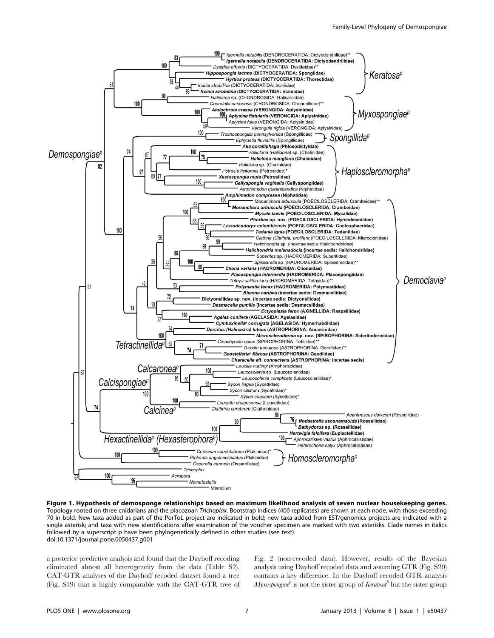

Figure 1. Hypothesis of demosponge relationships based on maximum likelihood analysis of seven nuclear housekeeping genes. Topology rooted on three cnidarians and the placozoan Trichoplax. Bootstrap indices (400 replicates) are shown at each node, with those exceeding 70 in bold. New taxa added as part of the PorToL project are indicated in bold; new taxa added from EST/genomics projects are indicated with a single asterisk; and taxa with new identifications after examination of the voucher specimen are marked with two asterisks. Clade names in italics followed by a superscript p have been phylogenetically defined in other studies (see text). doi:10.1371/journal.pone.0050437.g001

a posterior predictive analysis and found that the Dayhoff recoding eliminated almost all heterogeneity from the data (Table S2). CAT-GTR analyses of the Dayhoff recoded dataset found a tree (Fig. S19) that is highly comparable with the CAT-GTR tree of

Fig. 2 (non-recoded data). However, results of the Bayesian analysis using Dayhoff recoded data and assuming GTR (Fig. S20) contains a key difference. In the Dayhoff recoded GTR analysis *Myxospongiae*<sup> $\ell$ </sup> is not the sister group of *Keratosa*<sup> $\ell$ </sup> but the sister group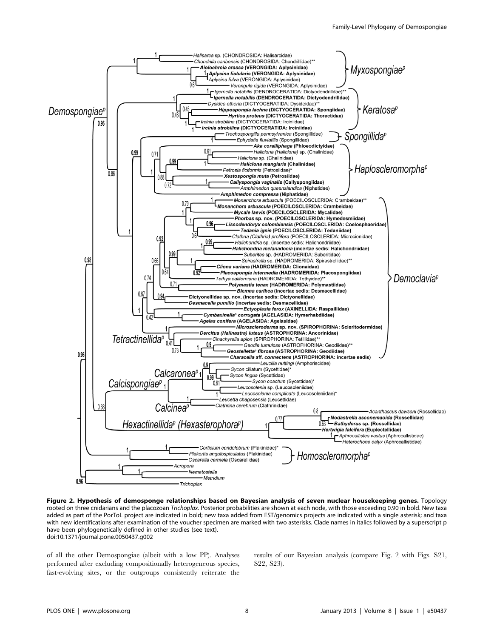

Figure 2. Hypothesis of demosponge relationships based on Bayesian analysis of seven nuclear housekeeping genes. Topology rooted on three cnidarians and the placozoan Trichoplax. Posterior probabilities are shown at each node, with those exceeding 0.90 in bold. New taxa added as part of the PorToL project are indicated in bold; new taxa added from EST/genomics projects are indicated with a single asterisk; and taxa with new identifications after examination of the voucher specimen are marked with two asterisks. Clade names in italics followed by a superscript p have been phylogenetically defined in other studies (see text). doi:10.1371/journal.pone.0050437.g002

of all the other Demospongiae (albeit with a low PP). Analyses performed after excluding compositionally heterogeneous species, fast-evolving sites, or the outgroups consistently reiterate the

results of our Bayesian analysis (compare Fig. 2 with Figs. S21, S22, S23).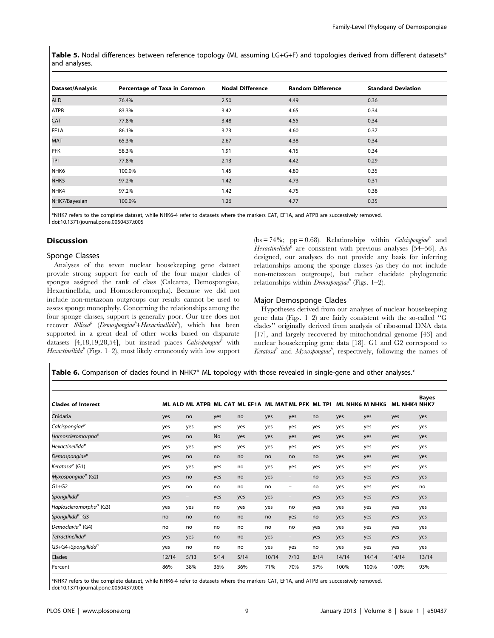Table 5. Nodal differences between reference topology (ML assuming LG+G+F) and topologies derived from different datasets\* and analyses.

| Dataset/Analysis | Percentage of Taxa in Common | <b>Nodal Difference</b> | <b>Random Difference</b> | <b>Standard Deviation</b> |
|------------------|------------------------------|-------------------------|--------------------------|---------------------------|
| <b>ALD</b>       | 76.4%                        | 2.50                    | 4.49                     | 0.36                      |
| <b>ATPB</b>      | 83.3%                        | 3.42                    | 4.65                     | 0.34                      |
| <b>CAT</b>       | 77.8%                        | 3.48                    | 4.55                     | 0.34                      |
| EF1A             | 86.1%                        | 3.73                    | 4.60                     | 0.37                      |
| <b>MAT</b>       | 65.3%                        | 2.67                    | 4.38                     | 0.34                      |
| PFK              | 58.3%                        | 1.91                    | 4.15                     | 0.34                      |
| TPI              | 77.8%                        | 2.13                    | 4.42                     | 0.29                      |
| NHK <sub>6</sub> | 100.0%                       | 1.45                    | 4.80                     | 0.35                      |
| NHK <sub>5</sub> | 97.2%                        | 1.42                    | 4.73                     | 0.31                      |
| NHK4             | 97.2%                        | 1.42                    | 4.75                     | 0.38                      |
| NHK7/Bayesian    | 100.0%                       | 1.26                    | 4.77                     | 0.35                      |

\*NHK7 refers to the complete dataset, while NHK6-4 refer to datasets where the markers CAT, EF1A, and ATPB are successively removed. doi:10.1371/journal.pone.0050437.t005

## Discussion

## Sponge Classes

Analyses of the seven nuclear housekeeping gene dataset provide strong support for each of the four major clades of sponges assigned the rank of class (Calcarea, Demospongiae, Hexactinellida, and Homoscleromorpha). Because we did not include non-metazoan outgroups our results cannot be used to assess sponge monophyly. Concerning the relationships among the four sponge classes, support is generally poor. Our tree does not recover Silicea<sup>p</sup> (Demospongiae<sup>p</sup>+Hexactinellida<sup>p</sup>), which has been supported in a great deal of other works based on disparate datasets  $[4,18,19,28,54]$ , but instead places *Calcispongiae*<sup>b</sup> with Hexactinellida<sup>p</sup> (Figs. 1–2), most likely erroneously with low support (bs = 74%; pp = 0.68). Relationships within *Calcispongiae*<sup>b</sup> and Hexactinellida<sup>p</sup> are consistent with previous analyses [54–56]. As designed, our analyses do not provide any basis for inferring relationships among the sponge classes (as they do not include non-metazoan outgroups), but rather elucidate phylogenetic relationships within *Demospongiae*<sup> $\ell$ </sup> (Figs. 1–2).

## Major Demosponge Clades

Hypotheses derived from our analyses of nuclear housekeeping gene data (Figs. 1–2) are fairly consistent with the so-called ''G clades'' originally derived from analysis of ribosomal DNA data [17], and largely recovered by mitochondrial genome [43] and nuclear housekeeping gene data [18]. G1 and G2 correspond to Keratosa<sup>p</sup> and Myxospongiae<sup>p</sup>, respectively, following the names of

Table 6. Comparison of clades found in NHK7\* ML topology with those revealed in single-gene and other analyses.\*

| <b>Clades of Interest</b>                 |       | ML ALD ML ATPB ML CAT ML EF1A ML MATML PFK ML TPI |      |      |       |                          |      |       | <b>ML NHK6 M NHK5</b> | <b>ML NHK4 NHK7</b> | <b>Bayes</b> |
|-------------------------------------------|-------|---------------------------------------------------|------|------|-------|--------------------------|------|-------|-----------------------|---------------------|--------------|
| Cnidaria                                  | yes   | no                                                | yes  | no   | yes   | yes                      | no   | yes   | yes                   | yes                 | yes          |
| Calcispongiae <sup>p</sup>                | yes   | yes                                               | yes  | yes  | yes   | yes                      | yes  | yes   | yes                   | yes                 | yes          |
| Homoscleromorpha <sup>p</sup>             | yes   | no                                                | No   | yes  | yes   | yes                      | yes  | yes   | yes                   | yes                 | yes          |
| Hexactinellida <sup>p</sup>               | yes   | yes                                               | yes  | yes  | yes   | yes                      | yes  | yes   | yes                   | yes                 | yes          |
| Demospongiae <sup>p</sup>                 | yes   | no                                                | no   | no   | no    | no                       | no   | yes   | yes                   | yes                 | yes          |
| Keratosa <sup>p</sup> (G1)                | yes   | yes                                               | yes  | no   | yes   | yes                      | yes  | yes   | yes                   | yes                 | yes          |
| Myxospongiae $P$ (G2)                     | yes   | no                                                | yes  | no   | yes   | -                        | no   | yes   | yes                   | yes                 | yes          |
| $G1+G2$                                   | yes   | no                                                | no   | no   | no    | $\overline{\phantom{m}}$ | no   | yes   | yes                   | yes                 | no           |
| Spongillida <sup>p</sup>                  | yes   | $\overline{\phantom{0}}$                          | yes  | yes  | yes   | $\qquad \qquad -$        | yes  | yes   | yes                   | yes                 | yes          |
| Haploscleromorpha <sup>P</sup> (G3)       | yes   | yes                                               | no   | yes  | yes   | no                       | yes  | yes   | yes                   | yes                 | yes          |
| Spongillida $P$ +G3                       | no    | no                                                | no   | no   | no    | yes                      | no   | yes   | yes                   | yes                 | yes          |
| Democlavia <sup><math>P</math></sup> (G4) | no    | no                                                | no   | no   | no    | no                       | yes  | yes   | yes                   | yes                 | yes          |
| Tetractinellida <sup>p</sup>              | yes   | yes                                               | no   | no   | yes   | -                        | yes  | yes   | yes                   | yes                 | yes          |
| $G3+G4+Spongillidap$                      | yes   | no                                                | no   | no   | yes   | yes                      | no   | yes   | yes                   | yes                 | yes          |
| <b>Clades</b>                             | 12/14 | 5/13                                              | 5/14 | 5/14 | 10/14 | 7/10                     | 8/14 | 14/14 | 14/14                 | 14/14               | 13/14        |
| Percent                                   | 86%   | 38%                                               | 36%  | 36%  | 71%   | 70%                      | 57%  | 100%  | 100%                  | 100%                | 93%          |

\*NHK7 refers to the complete dataset, while NHK6-4 refer to datasets where the markers CAT, EF1A, and ATPB are successively removed. doi:10.1371/journal.pone.0050437.t006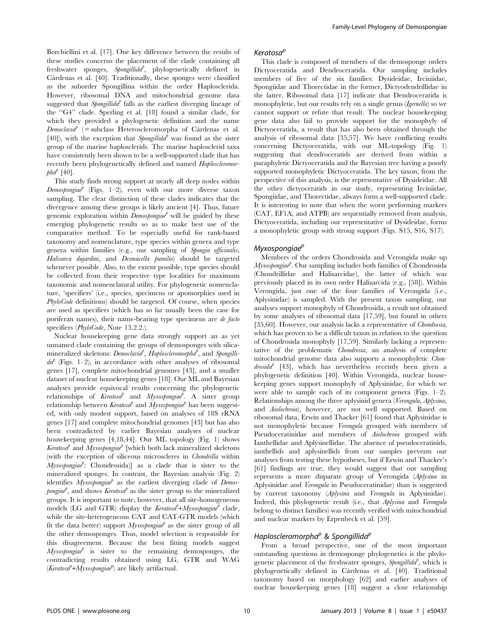Borchiellini et al. [17]. One key difference between the results of these studies concerns the placement of the clade containing all freshwater sponges, Spongillida<sup>p</sup>, phylogenetically defined in Cárdenas et al. [40]. Traditionally, these sponges were classified as the suborder Spongillina within the order Haplosclerida. However, ribosomal DNA and mitochondrial genome data suggested that Spongillida<sup>p</sup> falls as the earliest diverging lineage of the ''G4'' clade. Sperling et al. [18] found a similar clade, for which they provided a phylogenetic definition and the name  $Demodavia<sup>p</sup>$  (= subclass Heteroscleromorpha of Cárdenas et al. [40]), with the exception that *Spongillida*<sup> $\theta$ </sup> was found as the sister group of the marine haplosclerids. The marine haplosclerid taxa have consistently been shown to be a well-supported clade that has recently been phylogenetically defined and named Haploscleromor $pha^{p}$  [40].

This study finds strong support at nearly all deep nodes within  $Demosphogiae<sup>b</sup>$  (Figs. 1–2), even with our more diverse taxon sampling. The clear distinction of these clades indicates that the divergence among these groups is likely ancient [4]. Thus, future genomic exploration within  $D$ emospongiae<sup>p</sup> will be guided by these emerging phylogenetic results so as to make best use of the comparative method. To be especially useful for rank-based taxonomy and nomenclature, type species within genera and type genera within families (e.g., our sampling of Spongia officinalis, Halisarca dujardini, and Desmacella pumilio) should be targeted whenever possible. Also, to the extent possible, type species should be collected from their respective type localities for maximum taxonomic and nomenclatural utility. For phylogenetic nomenclature, 'specifiers' (i.e., species, specimens or apomorphies used in PhyloCode definitions) should be targeted. Of course, when species are used as specifiers (which has so far usually been the case for poriferan names), their name-bearing type specimens are de facto specifiers (*PhyloCode*, Note 13.2.2.).

Nuclear housekeeping gene data strongly support an as yet unnamed clade containing the groups of demosponges with silicamineralized skeletons:  $D$ emoclavia<sup>p</sup>, Haploscleromorpha<sup>p</sup>, and Spongilli $da^{\phi}$  (Figs. 1–2), in accordance with other analyses of ribosomal genes [17], complete mitochondrial genomes [43], and a smaller dataset of nuclear housekeeping genes [18]. Our ML and Bayesian analyses provide equivocal results concerning the phylogenetic relationships of  $\vec{Keratosd}^p$  and  $Myxospongia^p$ . A sister group relationship between Keratosa<sup>p</sup> and Myxospongiae<sup>p</sup> has been suggested, with only modest support, based on analyses of 18S rRNA genes [17] and complete mitochondrial genomes [43] but has also been contradicted by earlier Bayesian analyses of nuclear housekeeping genes [4,18,44]. Our ML topology (Fig. 1) shows Keratosa<sup>p</sup> and Myxospongiae<sup>p</sup> [which both lack mineralized skeletons (with the exception of siliceous microscleres in Chondrilla within  $Myxospongia'$ : Chondrosida)] as a clade that is sister to the mineralized sponges. In contrast, the Bayesian analysis (Fig. 2) identifies  $Myxospongiae<sup>b</sup>$  as the earliest diverging clade of Demospongiae<sup>p</sup>, and shows Keratosa<sup>p</sup> as the sister group to the mineralized groups. It is important to note, however, that all site-homogeneous models (LG and GTR) display the  $Keratosa^p+Myxospongiae^p$  clade, while the site-heterogeneous CAT and CAT-GTR models (which fit the data better) support  $Myxospongue^b$  as the sister group of all the other demosponges. Thus, model selection is responsible for this disagreement. Because the best fitting models suggest  $Myxospongia<sup>p</sup>$  is sister to the remaining demosponges, the contradicting results obtained using LG, GTR and WAG  $(Keratosa^{p}+Myxospongia^{p})$  are likely artifactual.

#### Keratosa<sup>p</sup>

This clade is composed of members of the demosponge orders Dictyoceratida and Dendroceratida. Our sampling includes members of five of the six families: Dysideidae, Irciniidae, Spongiidae and Thorectidae in the former, Dictyodendrillidae in the latter. Ribosomal data [17] indicate that Dendroceratida is monophyletic, but our results rely on a single genus (Igernella) so we cannot support or refute that result. The nuclear housekeeping gene data also fail to provide support for the monophyly of Dictyoceratida, a result that has also been obtained through the analysis of ribosomal data [35,57]. We have conflicting results concerning Dictyoceratida, with our ML-topology (Fig. 1) suggesting that dendroceratids are derived from within a paraphyletic Dictyoceratida and the Bayesian tree having a poorly supported monophyletic Dictyoceratida. The key taxon, from the perspective of this analysis, is the representative of Dysideidae. All the other dictyoceratids in our study, representing Irciniidae, Spongiidae, and Thorectidae, always form a well-supported clade. It is interesting to note that when the worst performing markers (CAT, EF1A, and ATPB) are sequentially removed from analysis, Dictyoceratida, including our representative of Dysideidae, forms a monophyletic group with strong support (Figs. S15, S16, S17).

## Myxospongiae<sup>p</sup>

Members of the orders Chondrosida and Verongida make up  $Myxospongia<sup>b</sup>$ . Our sampling includes both families of Chondrosida (Chondrillidae and Halisarcidae), the latter of which was previously placed in its own order Halisarcida (e.g., [58]). Within Verongida, just one of the four families of Verongida (i.e., Aplysinidae) is sampled. With the present taxon sampling, our analyses support monophyly of Chondrosida, a result not obtained by some analyses of ribosomal data [17,59], but found in others [35,60]. However, our analysis lacks a representative of *Chondrosia*, which has proven to be a difficult taxon in relation to the question of Chondrosida monophyly [17,59]. Similarly lacking a representative of the problematic Chondrosia, an analysis of complete mitochondrial genome data also supports a monophyletic Chon $drosida^b$  [43], which has nevertheless recently been given a phylogenetic definition [40]. Within Verongida, nuclear housekeeping genes support monophyly of Aplysinidae, for which we were able to sample each of its component genera (Figs. 1–2). Relationships among the three aplysinid genera (Verongula, Aplysina, and Aiolochroia), however, are not well supported. Based on ribosomal data, Erwin and Thacker [61] found that Aplysinidae is not monophyletic because Verongula grouped with members of Pseudoceratinidae and members of Aiolochroia grouped with Ianthellidae and Aplysinellidae. The absence of pseudoceratinids, ianthellids and aplysinellids from our samples prevents our analyses from testing these hypotheses, but if Erwin and Thacker's [61] findings are true, they would suggest that our sampling represents a more disparate group of Verongida (Aplysina in Aplysinidae and Verongula in Pseudoceratinidae) than is suggested by current taxonomy (Aplysina and Verongula in Aplysinidae). Indeed, this phylogenetic result (i.e., that Aplysina and Verongula belong to distinct families) was recently verified with mitochondrial and nuclear markers by Erpenbeck et al. [59].

## Haploscleromorpha<sup>p</sup> & Spongillida<sup>p</sup>

From a broad perspective, one of the most important outstanding questions in demosponge phylogenetics is the phylogenetic placement of the freshwater sponges, Spongillida<sup>p</sup>, which is phylogenetically defined in Cárdenas et al. [40]. Traditional taxonomy based on morphology [62] and earlier analyses of nuclear housekeeping genes [18] suggest a close relationship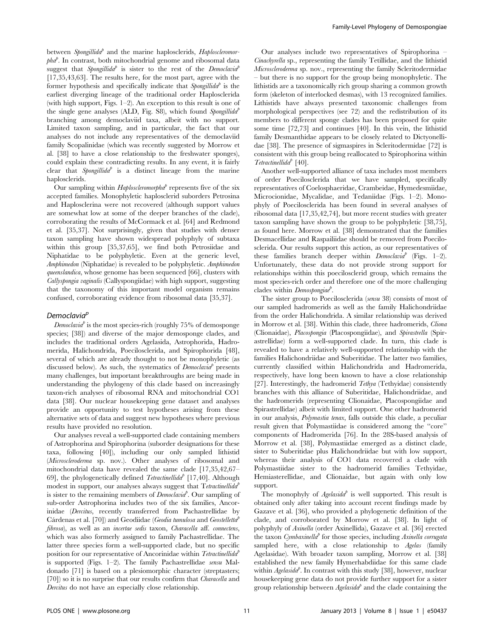between Spongillida<sup>p</sup> and the marine haplosclerids, Haploscleromor $pha^{\rho}$ . In contrast, both mitochondrial genome and ribosomal data suggest that Spongillida<sup>p</sup> is sister to the rest of the Democlavia<sup>p</sup> [17,35,43,63]. The results here, for the most part, agree with the former hypothesis and specifically indicate that  $\emph{Spongillida}^b$  is the earliest diverging lineage of the traditional order Haplosclerida (with high support, Figs. 1–2). An exception to this result is one of the single gene analyses (ALD, Fig. S8), which found Spongillida<sup>p</sup> branching among democlaviid taxa, albeit with no support. Limited taxon sampling, and in particular, the fact that our analyses do not include any representatives of the democlaviid family Scopalinidae (which was recently suggested by Morrow et al. [38] to have a close relationship to the freshwater sponges), could explain these contradicting results. In any event, it is fairly clear that Spongillida<sup>p</sup> is a distinct lineage from the marine haplosclerids.

Our sampling within  $Haploscleronorpha^b$  represents five of the six accepted families. Monophyletic haplosclerid suborders Petrosina and Haplosclerina were not recovered (although support values are somewhat low at some of the deeper branches of the clade), corroborating the results of McCormack et al. [64] and Redmond et al. [35,37]. Not surprisingly, given that studies with denser taxon sampling have shown widespread polyphyly of subtaxa within this group [35,37,65], we find both Petrosiidae and Niphatidae to be polyphyletic. Even at the generic level, Amphimedon (Niphatidae) is revealed to be polyphyletic. Amphimedon queenslandica, whose genome has been sequenced [66], clusters with Callyspongia vaginalis (Callyspongiidae) with high support, suggesting that the taxonomy of this important model organism remains confused, corroborating evidence from ribosomal data [35,37].

## Democlavia<sup>p</sup>

Democlavia<sup> $\ell$ </sup> is the most species-rich (roughly 75% of demosponge species; [38]) and diverse of the major demosponge clades, and includes the traditional orders Agelasida, Astrophorida, Hadromerida, Halichondrida, Poecilosclerida, and Spirophorida [48], several of which are already thought to not be monophyletic (as discussed below). As such, the systematics of  $Democlaval$  presents many challenges, but important breakthroughs are being made in understanding the phylogeny of this clade based on increasingly taxon-rich analyses of ribosomal RNA and mitochondrial CO1 data [38]. Our nuclear housekeeping gene dataset and analyses provide an opportunity to test hypotheses arising from these alternative sets of data and suggest new hypotheses where previous results have provided no resolution.

Our analyses reveal a well-supported clade containing members of Astrophorina and Spirophorina (suborder designations for these taxa, following [40]), including our only sampled lithistid (Microscleroderma sp. nov.). Other analyses of ribosomal and mitochondrial data have revealed the same clade [17,35,42,67– 69], the phylogenetically defined *Tetractinellida*<sup> $\ell$ </sup> [17,40]. Although modest in support, our analyses always suggest that  $T$ etractinellida<sup>p</sup> is sister to the remaining members of  $Democlavia^{\rho}$ . Our sampling of sub-order Astrophorina includes two of the six families, Ancorinidae (Dercitus, recently transferred from Pachastrellidae by Cárdenas et al. [70]) and Geodiidae (Geodia tumulosa and Geostelletta<sup>p</sup> fibrosa), as well as an *incertae sedis* taxon, *Characella* aff. *connectens*, which was also formerly assigned to family Pachastrellidae. The latter three species form a well-supported clade, but no specific position for our representative of Ancorinidae within  $Tetractinellida<sup>b</sup>$ is supported (Figs. 1–2). The family Pachastrellidae sensu Maldonado [71] is based on a plesiomorphic character (streptasters; [70]) so it is no surprise that our results confirm that Characella and Dercitus do not have an especially close relationship.

Our analyses include two representatives of Spirophorina – Cinachyrella sp., representing the family Tetillidae, and the lithistid Microscleroderma sp. nov., representing the family Scleritodermidae – but there is no support for the group being monophyletic. The lithistids are a taxonomically rich group sharing a common growth form (skeleton of interlocked desmas), with 13 recognized families. Lithistids have always presented taxonomic challenges from morphological perspectives (see 72) and the redistribution of its members to different sponge clades has been proposed for quite some time [72,73] and continues [40]. In this vein, the lithistid family Desmanthidae appears to be closely related to Dictyonellidae [38]. The presence of sigmaspires in Scleritodermidae [72] is consistent with this group being reallocated to Spirophorina within  $Tetractinellida<sup>p</sup>$  [40].

Another well-supported alliance of taxa includes most members of order Poecilosclerida that we have sampled, specifically representatives of Coelosphaeridae, Crambeidae, Hymedesmiidae, Microcionidae, Mycalidae, and Tedaniidae (Figs. 1–2). Monophyly of Poecilosclerida has been found in several analyses of ribosomal data [17,35,42,74], but more recent studies with greater taxon sampling have shown the group to be polyphyletic [38,75], as found here. Morrow et al. [38] demonstrated that the families Desmacellidae and Raspailiidae should be removed from Poecilosclerida. Our results support this action, as our representatives of these families branch deeper within  $Demodawa<sup>p</sup>$  (Figs. 1–2). Unfortunately, these data do not provide strong support for relationships within this poecilosclerid group, which remains the most species-rich order and therefore one of the more challenging clades within Demospongiae<sup>p</sup>.

The sister group to Poecilosclerida (sensu 38) consists of most of our sampled hadromerids as well as the family Halichondriidae from the order Halichondrida. A similar relationship was derived in Morrow et al. [38]. Within this clade, three hadromerids, *Cliona* (Clionaidae), Placospongia (Placospongiidae), and Spirastrella (Spirastrellidae) form a well-supported clade. In turn, this clade is revealed to have a relatively well-supported relationship with the families Halichondriidae and Suberitidae. The latter two families, currently classified within Halichondrida and Hadromerida, respectively, have long been known to have a close relationship [27]. Interestingly, the hadromerid  $Tethya$  (Tethyidae) consistently branches with this alliance of Suberitidae, Halichondriidae, and the hadromerids (representing Clionaidae, Placospongiidae and Spirastrellidae) albeit with limited support. One other hadromerid in our analysis, Polymastia tenax, falls outside this clade, a peculiar result given that Polymastiidae is considered among the ''core'' components of Hadromerida [76]. In the 28S-based analysis of Morrow et al. [38], Polymastiidae emerged as a distinct clade, sister to Suberitidae plus Halichondriidae but with low support, whereas their analysis of CO1 data recovered a clade with Polymastiidae sister to the hadromerid families Tethyidae, Hemiasterellidae, and Clionaidae, but again with only low support.

The monophyly of  $A$ gelasida<sup>p</sup> is well supported. This result is obtained only after taking into account recent findings made by Gazave et al. [36], who provided a phylogenetic definition of the clade, and corroborated by Morrow et al. [38]. In light of polyphyly of Axinella (order Axinellida), Gazave et al. [36] erected the taxon  $Cymbaxinella<sup>p</sup>$  for those species, including Axinella corrugata sampled here, with a close relationship to Agelas (family Agelasidae). With broader taxon sampling, Morrow et al. [38] established the new family Hymerhabdiidae for this same clade within  $A$ gelasida<sup>b</sup>. In contrast with this study [38], however, nuclear housekeeping gene data do not provide further support for a sister group relationship between  $Agelasidd$  and the clade containing the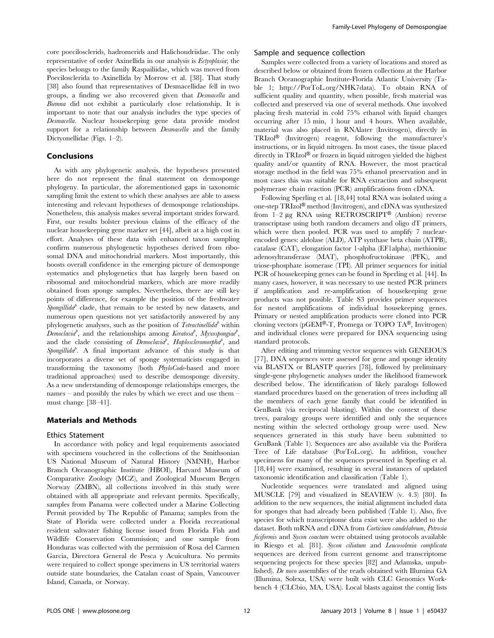core poecilosclerids, hadromerids and Halichondriidae. The only representative of order Axinellida in our analysis is Ectyoplasia; the species belongs to the family Raspailiidae, which was moved from Poecilosclerida to Axinellida by Morrow et al. [38]. That study [38] also found that representatives of Desmacellidae fell in two groups, a finding we also recovered given that Desmacella and Biemna did not exhibit a particularly close relationship. It is important to note that our analysis includes the type species of Desmacella. Nuclear housekeeping gene data provide modest support for a relationship between *Desmacella* and the family Dictyonellidae (Figs. 1–2).

### Conclusions

As with any phylogenetic analysis, the hypotheses presented here do not represent the final statement on demosponge phylogeny. In particular, the aforementioned gaps in taxonomic sampling limit the extent to which these analyses are able to assess interesting and relevant hypotheses of demosponge relationships. Nonetheless, this analysis makes several important strides forward. First, our results bolster previous claims of the efficacy of the nuclear housekeeping gene marker set [44], albeit at a high cost in effort. Analyses of these data with enhanced taxon sampling confirm numerous phylogenetic hypotheses derived from ribosomal DNA and mitochondrial markers. Most importantly, this boosts overall confidence in the emerging picture of demosponge systematics and phylogenetics that has largely been based on ribosomal and mitochondrial markers, which are more readily obtained from sponge samples. Nevertheless, there are still key points of difference, for example the position of the freshwater Spongillida<sup>p</sup> clade, that remain to be tested by new datasets, and numerous open questions not yet satisfactorily answered by any phylogenetic analyses, such as the position of  $Tetractinellida<sup>p</sup>$  within Democlavia<sup>p</sup>, and the relationships among Keratosa<sup>p</sup>, Myxospongiae<sup>p</sup>, and the clade consisting of  $\overrightarrow{Democlavia}$ , Haploscleromorpha<sup>p</sup>, and  $S$ pongillida<sup>p</sup>. A final important advance of this study is that incorporates a diverse set of sponge systematicists engaged in transforming the taxonomy (both PhyloCode-based and more traditional approaches) used to describe demosponge diversity. As a new understanding of demosponge relationships emerges, the names – and possibly the rules by which we erect and use them – must change [38–41].

### Materials and Methods

#### Ethics Statement

In accordance with policy and legal requirements associated with specimens vouchered in the collections of the Smithsonian US National Museum of Natural History (NMNH), Harbor Branch Oceanographic Institute (HBOI), Harvard Museum of Comparative Zoology (MCZ), and Zoological Museum Bergen Norway (ZMBN), all collections involved in this study were obtained with all appropriate and relevant permits. Specifically, samples from Panama were collected under a Marine Collecting Permit provided by The Republic of Panama; samples from the State of Florida were collected under a Florida recreational resident saltwater fishing license issued from Florida Fish and Wildlife Conservation Commission; and one sample from Honduras was collected with the permission of Rosa del Carmen Garcia, Directora General de Pesca y Acuicultura. No permits were required to collect sponge specimens in US territorial waters outside state boundaries, the Catalan coast of Spain, Vancouver Island, Canada, or Norway.

#### Sample and sequence collection

Samples were collected from a variety of locations and stored as described below or obtained from frozen collections at the Harbor Branch Oceanographic Institute-Florida Atlantic University (Table 1; http://PorToL.org/NHK7data). To obtain RNA of sufficient quality and quantity, when possible, fresh material was collected and preserved via one of several methods. One involved placing fresh material in cold 75% ethanol with liquid changes occurring after 15 min, 1 hour and 4 hours. When available, material was also placed in RNAlater (Invitrogen), directly in TRIzol<sup>®</sup> (Invitrogen) reagent, following the manufacturer's instructions, or in liquid nitrogen. In most cases, the tissue placed directly in  $TRIzol^{\circledR}$  or frozen in liquid nitrogen yielded the highest quality and/or quantity of RNA. However, the most practical storage method in the field was 75% ethanol preservation and in most cases this was suitable for RNA extraction and subsequent polymerase chain reaction (PCR) amplifications from cDNA.

Following Sperling et al. [18,44] total RNA was isolated using a one-step  $TRIzol^{\circledR}$  method (Invitrogen), and cDNA was synthesized from  $1-2 \mu$ g RNA using RETROSCRIPT<sup>®</sup> (Ambion) reverse transcriptase using both random decamers and oligo dT primers, which were then pooled. PCR was used to amplify 7 nuclearencoded genes: aldolase (ALD), ATP synthase beta chain (ATPB), catalase (CAT), elongation factor 1-alpha (EF1alpha), methionine adenosyltransferase (MAT), phosphofructokinase (PFK), and triose-phosphate isomerase (TPI). All primer sequences for initial PCR of housekeeping genes can be found in Sperling et al. [44]. In many cases, however, it was necessary to use nested PCR primers if amplification and re-amplification of housekeeping gene products was not possible. Table S3 provides primer sequences for nested amplifications of individual housekeeping genes. Primary or nested amplification products were cloned into PCR cloning vectors (pGEM®-T, Promega or TOPO TA®, Invitrogen) and individual clones were prepared for DNA sequencing using standard protocols.

After editing and trimming vector sequences with GENEIOUS [77], DNA sequences were assessed for gene and sponge identity via BLASTX or BLASTP queries [78], followed by preliminary single-gene phylogenetic analyses under the likelihood framework described below. The identification of likely paralogs followed standard procedures based on the generation of trees including all the members of each gene family that could be identified in GenBank (via reciprocal blasting). Within the context of these trees, paralogy groups were identified and only the sequences nesting within the selected orthology group were used. New sequences generated in this study have been submitted to GenBank (Table 1). Sequences are also available via the Porifera Tree of Life database (PorToL.org). In addition, voucher specimens for many of the sequences presented in Sperling et al. [18,44] were examined, resulting in several instances of updated taxonomic identification and classification (Table 1).

Nucleotide sequences were translated and aligned using MUSCLE [79] and visualized in SEAVIEW (v. 4.3) [80]. In addition to the new sequences, the initial alignment included data for sponges that had already been published (Table 1). Also, five species for which transcriptome data exist were also added to the dataset. Both mRNA and cDNA from Corticium candelabrum, Petrosia ficiformis and Sycon coactum were obtained using protocols available in Riesgo et al. [81]. Sycon ciliatum and Leucosolenia complicata sequences are derived from current genome and transcriptome sequencing projects for these species [82] and Adamska, unpublished). De novo assemblies of the reads obtained with Illumina GA (Illumina, Solexa, USA) were built with CLC Genomics Workbench 4 (CLCbio, MA, USA). Local blasts against the contig lists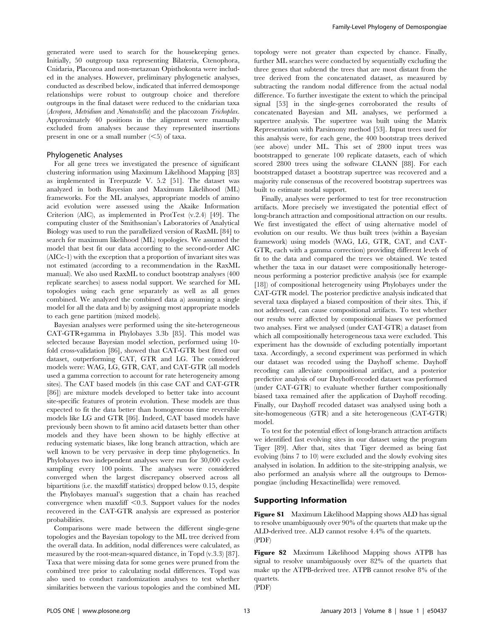generated were used to search for the housekeeping genes. Initially, 50 outgroup taxa representing Bilateria, Ctenophora, Cnidaria, Placozoa and non-metazoan Opisthokonta were included in the analyses. However, preliminary phylogenetic analyses, conducted as described below, indicated that inferred demosponge relationships were robust to outgroup choice and therefore outgroups in the final dataset were reduced to the cnidarian taxa (Acropora, Metridium and Nematostella) and the placozoan Trichoplax. Approximately 40 positions in the alignment were manually excluded from analyses because they represented insertions present in one or a small number  $(*5*)$  of taxa.

#### Phylogenetic Analyses

For all gene trees we investigated the presence of significant clustering information using Maximum Likelihood Mapping [83] as implemented in Treepuzzle V. 5.2 [51]. The dataset was analyzed in both Bayesian and Maximum Likelihood (ML) frameworks. For the ML analyses, appropriate models of amino acid evolution were assessed using the Akaike Information Criterion (AIC), as implemented in ProtTest (v.2.4) [49]. The computing cluster of the Smithsonian's Laboratories of Analytical Biology was used to run the parallelized version of RaxML [84] to search for maximum likelihood (ML) topologies. We assumed the model that best fit our data according to the second-order AIC (AICc-1) with the exception that a proportion of invariant sites was not estimated (according to a recommendation in the RaxML manual). We also used RaxML to conduct bootstrap analyses (400 replicate searches) to assess nodal support. We searched for ML topologies using each gene separately as well as all genes combined. We analyzed the combined data a) assuming a single model for all the data and b) by assigning most appropriate models to each gene partition (mixed models).

Bayesian analyses were performed using the site-heterogeneous CAT-GTR+gamma in Phylobayes 3.3b [85]. This model was selected because Bayesian model selection, performed using 10 fold cross-validation [86], showed that CAT-GTR best fitted our dataset, outperforming CAT, GTR and LG. The considered models were: WAG, LG, GTR, CAT, and CAT-GTR (all models used a gamma correction to account for rate heterogeneity among sites). The CAT based models (in this case CAT and CAT-GTR [86]) are mixture models developed to better take into account site-specific features of protein evolution. These models are thus expected to fit the data better than homogeneous time reversible models like LG and GTR [86]. Indeed, CAT based models have previously been shown to fit amino acid datasets better than other models and they have been shown to be highly effective at reducing systematic biases, like long branch attraction, which are well known to be very pervasive in deep time phylogenetics. In Phylobayes two independent analyses were run for 30,000 cycles sampling every 100 points. The analyses were considered converged when the largest discrepancy observed across all bipartitions (i.e. the maxdiff statistics) dropped below 0.15, despite the Phylobayes manual's suggestion that a chain has reached convergence when maxdiff  $< 0.3$ . Support values for the nodes recovered in the CAT-GTR analysis are expressed as posterior probabilities.

Comparisons were made between the different single-gene topologies and the Bayesian topology to the ML tree derived from the overall data. In addition, nodal differences were calculated, as measured by the root-mean-squared distance, in Topd (v.3.3) [87]. Taxa that were missing data for some genes were pruned from the combined tree prior to calculating nodal differences. Topd was also used to conduct randomization analyses to test whether similarities between the various topologies and the combined ML topology were not greater than expected by chance. Finally, further ML searches were conducted by sequentially excluding the three genes that subtend the trees that are most distant from the tree derived from the concatenated dataset, as measured by subtracting the random nodal difference from the actual nodal difference. To further investigate the extent to which the principal signal [53] in the single-genes corroborated the results of concatenated Bayesian and ML analyses, we performed a supertree analysis. The supertree was built using the Matrix Representation with Parsimony method [53]. Input trees used for this analysis were, for each gene, the 400 bootstrap trees derived (see above) under ML. This set of 2800 input trees was bootstrapped to generate 100 replicate datasets, each of which scored 2800 trees using the software CLANN [88]. For each bootstrapped dataset a bootstrap supertree was recovered and a majority rule consensus of the recovered bootstrap supertrees was built to estimate nodal support.

Finally, analyses were performed to test for tree reconstruction artifacts. More precisely we investigated the potential effect of long-branch attraction and compositional attraction on our results. We first investigated the effect of using alternative model of evolution on our results. We thus built trees (within a Bayesian framework) using models (WAG, LG, GTR, CAT, and CAT-GTR, each with a gamma correction) providing different levels of fit to the data and compared the trees we obtained. We tested whether the taxa in our dataset were compositionally heterogeneous performing a posterior predictive analysis (see for example [18]) of compositional heterogeneity using Phylobayes under the CAT-GTR model. The posterior predictive analysis indicated that several taxa displayed a biased composition of their sites. This, if not addressed, can cause compositional artifacts. To test whether our results were affected by compositional biases we performed two analyses. First we analysed (under CAT-GTR) a dataset from which all compositionally heterogeneous taxa were excluded. This experiment has the downside of excluding potentially important taxa. Accordingly, a second experiment was performed in which our dataset was recoded using the Dayhoff scheme. Dayhoff recoding can alleviate compositional artifact, and a posterior predictive analysis of our Dayhoff-recoded dataset was performed (under CAT-GTR) to evaluate whether further compositionally biased taxa remained after the application of Dayhoff recoding. Finally, our Dayhoff recoded dataset was analysed using both a site-homogeneous (GTR) and a site heterogeneous (CAT-GTR) model.

To test for the potential effect of long-branch attraction artifacts we identified fast evolving sites in our dataset using the program Tiger [89]. After that, sites that Tiger deemed as being fast evolving (bins 7 to 10) were excluded and the slowly evolving sites analysed in isolation. In addition to the site-stripping analysis, we also performed an analysis where all the outgroups to Demospongiae (including Hexactinellida) were removed.

## Supporting Information

Figure S1 Maximum Likelihood Mapping shows ALD has signal to resolve unambiguously over 90% of the quartets that make up the ALD-derived tree. ALD cannot resolve 4.4% of the quartets. (PDF)

Figure S2 Maximum Likelihood Mapping shows ATPB has signal to resolve unambiguously over 82% of the quartets that make up the ATPB-derived tree. ATPB cannot resolve 8% of the quartets.

(PDF)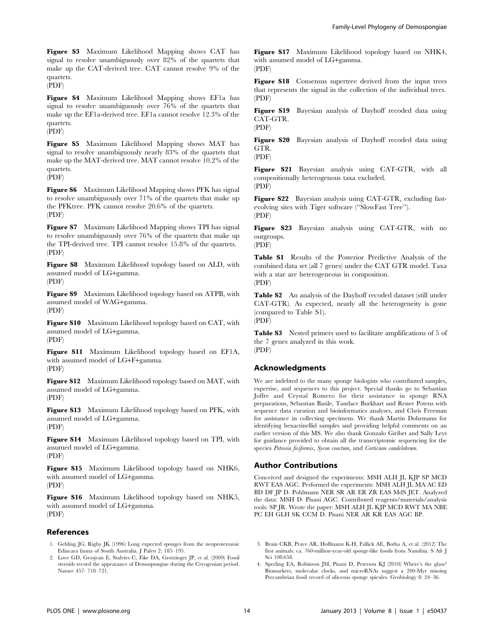Figure S3 Maximum Likelihood Mapping shows CAT has signal to resolve unambiguously over 82% of the quartets that make up the CAT-derived tree. CAT cannot resolve 9% of the quartets.

(PDF)

Figure S4 Maximum Likelihood Mapping shows EF1a has signal to resolve unambiguously over 76% of the quartets that make up the EF1a-derived tree. EF1a cannot resolve 12.3% of the quartets. (PDF)

Figure S5 Maximum Likelihood Mapping shows MAT has signal to resolve unambiguously nearly 83% of the quartets that make up the MAT-derived tree. MAT cannot resolve 10.2% of the quartets. (PDF)

Figure S6 Maximum Likelihood Mapping shows PFK has signal to resolve unambiguously over 71% of the quartets that make up the PFKtree. PFK cannot resolve 20.6% of the quartets. (PDF)

Figure S7 Maximum Likelihood Mapping shows TPI has signal to resolve unambiguously over 76% of the quartets that make up the TPI-derived tree. TPI cannot resolve 15.8% of the quartets. (PDF)

Figure S8 Maximum Likelihood topology based on ALD, with assumed model of LG+gamma. (PDF)

Figure S9 Maximum Likelihood topology based on ATPB, with assumed model of WAG+gamma. (PDF)

Figure S10 Maximum Likelihood topology based on CAT, with assumed model of LG+gamma. (PDF)

Figure S11 Maximum Likelihood topology based on EF1A, with assumed model of LG+F+gamma. (PDF)

Figure S12 Maximum Likelihood topology based on MAT, with assumed model of LG+gamma. (PDF)

Figure S13 Maximum Likelihood topology based on PFK, with assumed model of LG+gamma. (PDF)

Figure S14 Maximum Likelihood topology based on TPI, with assumed model of LG+gamma. (PDF)

Figure S15 Maximum Likelihood topology based on NHK6, with assumed model of LG+gamma. (PDF)

Figure S16 Maximum Likelihood topology based on NHK5, with assumed model of LG+gamma. (PDF)

## References

- 1. Gehling JG, Rigby JK (1996) Long expected sponges from the neoproterozoic Ediacara fauna of South Australia. J Paleo 2: 185–195.
- 2. Love GD, Grosjean E, Stalvies C, Fike DA, Grotzinger JP, et al. (2009) Fossil steroids record the appearance of Demospongiae during the Cryogenian period. Nature 457: 718–721.

Figure S17 Maximum Likelihood topology based on NHK4, with assumed model of LG+gamma. (PDF)

Figure S18 Consensus supertree derived from the input trees that represents the signal in the collection of the individual trees. (PDF)

Figure S19 Bayesian analysis of Dayhoff recoded data using CAT-GTR.

(PDF)

Figure S20 Bayesian analysis of Dayhoff recoded data using GTR. (PDF)

Figure S21 Bayesian analysis using CAT-GTR, with all compositionally heterogenous taxa excluded. (PDF)

Figure S22 Bayesian analysis using CAT-GTR, excluding fastevolving sites with Tiger software (''SlowFast Tree''). (PDF)

Figure S23 Bayesian analysis using CAT-GTR, with no outgroups.

(PDF)

Table S1 Results of the Posterior Predictive Analysis of the combined data set (all 7 genes) under the CAT GTR model. Taxa with a star are heterogeneous in composition. (PDF)

Table S2 An analysis of the Dayhoff recoded dataset (still under CAT-GTR). As expected, nearly all the heterogeneity is gone (compared to Table S1). (PDF)

Table S3 Nested primers used to facilitate amplifications of 5 of the 7 genes analyzed in this work. (PDF)

## Acknowledgments

We are indebted to the many sponge biologists who contributed samples, expertise, and sequences to this project. Special thanks go to Sebastian Joffre and Crystal Romero for their assistance in sponge RNA preparations, Sebastian Basile, Tandace Burkhart and Renee Potens with sequence data curation and bioinformatics analyses, and Chris Freeman for assistance in collecting specimens. We thank Martin Dohrmann for identifying hexactinellid samples and providing helpful comments on an earlier version of this MS. We also thank Gonzalo Giribet and Sally Leys for guidance provided to obtain all the transcriptomic sequencing for the species Petrosia ficiformis, Sycon coactum, and Corticium candelabrum.

## Author Contributions

Conceived and designed the experiments: MSH ALH JL KJP SP MCD RWT EAS AGC. Performed the experiments: MSH ALH JL MA AC ED BD DF JP D. Pohlmann NER SR AR ER ZR EAS MdS JET. Analyzed the data: MSH D. Pisani AGC. Contributed reagents/materials/analysis tools: SP JR. Wrote the paper: MSH ALH JL KJP MCD RWT MA NBE PC EH GLH SK CCM D. Pisani NER AR KR EAS AGC BP.

- 3. Brain CKB, Prave AR, Hoffmann K-H, Fallick AE, Botha A, et al. (2012) The first animals: ca. 760-million-year-old sponge-like fossils from Namibia. S Afr J Sci 108:658.
- 4. Sperling EA, Robinson JM, Pisani D, Peterson KJ (2010) Where's the glass? Biomarkers, molecular clocks, and microRNAs suggest a 200-Myr missing Precambrian fossil record of siliceous sponge spicules. Geobiology 8: 24–36.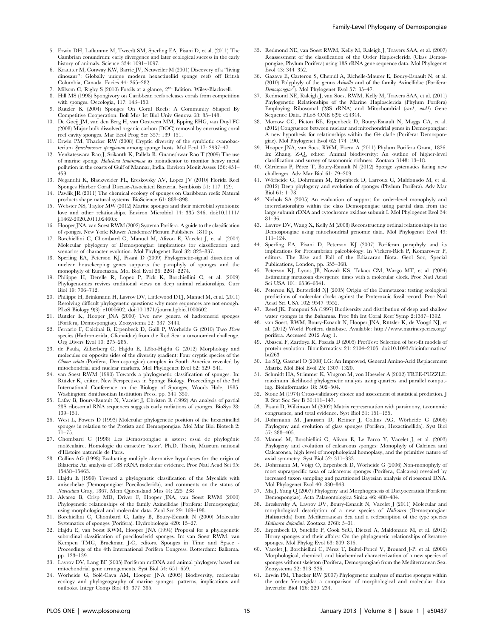- 5. Erwin DH, Laflamme M, Tweedt SM, Sperling EA, Pisani D, et al. (2011) The Cambrian conundrum: early divergence and later ecological success in the early history of animals. Science 334: 1091-1097.
- 6. Krautter M, Conway KW, Barrie JV, Neuweiler M (2001) Discovery of a ''living dinosaur'': Globally unique modern hexactinellid sponge reefs off British Columbia, Canada. Facies 44: 265–282.
- 7. Milsom C, Rigby S (2010) Fossils at a glance, 2nd Edition. Wiley-Blackwell.
- 8. Hill MS (1998) Spongivory on Caribbean reefs releases corals from competition with sponges. Oecologia, 117: 143–150.
- 9. Rützler K (2004) Sponges On Coral Reefs: A Community Shaped By Competitive Cooperation. Boll Mus Ist Biol Univ Genova 68: 85–148.
- 10. De Goeij JM, van den Berg H, van Oostveen MM, Epping EHG, van Duyl FC (2008) Major bulk dissolved organic carbon (DOC) removal by encrusting coral reef cavity sponges. Mar Ecol Prog Ser 357: 139–151.
- 11. Erwin PM, Thacker RW (2008) Cryptic diversity of the symbiotic cyanobacterium Synechococcus spongiarum among sponge hosts. Mol Ecol 17: 2937–47.
- 12. Venkateswara Rao J, Srikanth K, Pallela R, Gnaneshwar Rao T (2009) The use of marine sponge Haliclona tenuiramosa as bioindicator to monitor heavy metal pollution in the coasts of Gulf of Mannar, India. Environ Monit Assess 156: 451– 459.
- 13. Negandhi K, Blackwelder PL, Ereskovsky AV, Lopez JV (2010) Florida Reef Sponges Harbor Coral Disease-Associated Bacteria. Symbiosis 51: 117–129.
- 14. Pawlik JR (2011) The chemical ecology of sponges on Caribbean reefs: Natural products shape natural systems. BioScience 61: 888–898.
- 15. Webster NS, Taylor MW (2012) Marine sponges and their microbial symbionts: love and other relationships. Environ Microbiol 14: 335–346. doi:10.1111/ j.1462-2920.2011.02460.x
- 16. Hooper JNA, van Soest RWM (2002) Systema Porifera. A guide to the classification of sponges. New York: Kluwer Academic/Plenum Publishers. 1810 p.
- 17. Borchiellini C, Chombard C, Manuel M, Alivon E, Vacelet J, et al. (2004) Molecular phylogeny of Demospongiae: implications for classification and scenarios of character evolution. Mol Phylogenet Evol 32: 823–837.
- 18. Sperling EA, Peterson KJ, Pisani D (2009) Phylogenetic-signal dissection of nuclear housekeeping genes supports the paraphyly of sponges and the monophyly of Eumetazoa. Mol Biol Evol 26: 2261–2274.
- 19. Philippe H, Derelle R, Lopez P, Pick K, Borchiellini C, et al. (2009) Phylogenomics revives traditional views on deep animal relationships. Curr Biol 19: 706–712.
- 20. Philippe H, Brinkmann H, Lavrov DV, Littlewood DTJ, Manuel M, et al. (2011) Resolving difficult phylogenetic questions: why more sequences are not enough. PLoS Biology 9(3): e1000602. doi:10.1371/journal.pbio.1000602
- 21. Rützler K, Hooper JNA (2000) Two new genera of hadromerid sponges (Porifera, Demospongiae). Zoosystema 22: 337–3444.
- 22. Ferrario F, Calcinai B, Erpenbeck D, Galli P, Wörheide G (2010) Two Pione species (Hadromerida, Clionaidae) from the Red Sea: a taxonomical challenge. Org Divers Evol 10: 275–285.
- 23. de Paula, Zilberberg C, Hajdu E, Lôbo-Hajdu G (2012) Morphology and molecules on opposite sides of the diversity gradient: Four cryptic species of the Cliona celata (Porifera, Demospongiae) complex in South America revealed by mitochondrial and nuclear markers. Mol Phylogenet Evol 62: 529–541.
- 24. van Soest RWM (1990) Towards a phylogenetic classification of sponges. In: Rützler K, editor. New Perspectives in Sponge Biology. Proceedings of the 3rd International Conference on the Biology of Sponges, Woods Hole, 1985. Washington: Smithsonian Institution Press. pp. 344–350.
- 25. Lafay B, Boury-Esnault N, Vacelet J, Christen R (1992) An analysis of partial 28S ribosomal RNA sequences suggests early radiations of sponges. BioSys 28: 139–151.
- 26. West L, Powers D (1993) Molecular phylogenetic position of the hexactinellid sponges in relation to the Protista and Demospongiae. Mol Mar Biol Biotech 2: 71–75.
- 27. Chombard C (1998) Les Demospongiae à asters: essai de phylogénie moléculaire. Homologie du caractère 'aster'. Ph.D. Thesis, Museum national d'Histoire naturelle de Paris.
- 28. Collins AG (1998) Evaluating multiple alternative hypotheses for the origin of Bilateria: An analysis of 18S rRNA molecular evidence. Proc Natl Acad Sci 95: 15458–15463.
- 29. Hajdu E (1999) Toward a phylogenetic classification of the Mycalids with anisochelae (Demospongiae: Poecilosclerida), and comments on the status of Naviculina Gray, 1867. Mem Queensland Mus 44: 225–238
- 30. Alvarez B, Crisp MD, Driver F, Hooper JNA, van Soest RWM (2000) Phylogenetic relationships of the family Axinellidae (Porifera: Demospongiae) using morphological and molecular data. Zool Scr 29: 169–198.
- 31. Borchiellini C, Chombard C, Lafay B, Boury-Esnault N (2000) Molecular Systematics of sponges (Porifera). Hydrobiologia 420: 15–27.
- 32. Hajdu E, van Soest RWM, Hooper JNA (1994) Proposal for a phylogenetic subordinal classification of poecilosclerid sponges. In: van Soest RWM, van Kempen TMG, Braekman J-C, editors. Sponges in Time and Space - Proceedings of the 4th International Porifera Congress. Rotterdam: Balkema. pp. 123–139.
- 33. Lavrov DV, Lang BF (2005) Poriferan mtDNA and animal phylogeny based on mitochondrial gene arrangements. Syst Biol 54: 651–659.
- 34. Wörheide G, Solé-Cava AM, Hooper JNA (2005) Biodiversity, molecular ecology and phylogeography of marine sponges: patterns, implications and outlooks. Integr Comp Biol 43: 377–385.
- Family-Level Phylogeny of Demospongiae
- 35. Redmond NE, van Soest RWM, Kelly M, Raleigh J, Travers SAA, et al. (2007) Reassessment of the classification of the Order Haplosclerida (Class Demospongiae, Phylum Porifera) using 18S rRNA gene sequence data. Mol Phylogenet Evol 43: 344–352.
- 36. Gazave E, Carteron S, Chenuil A, Richelle-Maurer E, Boury-Esnault N, et al. (2010) Polyphyly of the genus Axinella and of the family Axinellidae (Porifera: Demospongiae<sup>P</sup>). Mol Phylogenet Evol 57: 35-47.
- 37. Redmond NE, Raleigh J, van Soest RWM, Kelly M, Travers SAA, et al. (2011) Phylogenetic Relationships of the Marine Haplosclerida (Phylum Porifera) Employing Ribosomal (28S rRNA) and Mitochondrial (cox1, nad1) Gene Sequence Data. PLoS ONE 6(9): e24344.
- 38. Morrow CC, Picton BE, Erpenbeck D, Boury-Esnault N, Maggs CA, et al. (2012) Congruence between nuclear and mitochondrial genes in Demospongiae: A new hypothesis for relationships within the G4 clade (Porifera: Demospongiae). Mol Phylogenet Evol 62: 174–190.
- 39. Hooper JNA, van Soest RWM, Pisera A (2011) Phylum Porifera Grant, 1826. In: Zhang, Z-Q, editor. Animal biodiversity: An outline of higher-level classification and survey of taxonomic richness. Zootaxa 3148: 13–18.
- 40. Cárdenas P, Pérez T, Boury-Esnault N (2012) Sponge systematics facing new challenges. Adv Mar Biol 61: 79–209.
- 41. Wo¨rheide G, Dohrmann M, Erpenbeck D, Larroux C, Maldonado M, et al. (2012) Deep phylogeny and evolution of sponges (Phylum Porifera). Adv Mar Biol 61: 1–78.
- 42. Nichols SA (2005) An evaluation of support for order-level monophyly and interrelationships within the class Demospongiae using partial data from the large subunit rDNA and cytochrome oxidase subunit I. Mol Phylogenet Evol 34: 81–96.
- 43. Lavrov DV, Wang X, Kelly M (2008) Reconstructing ordinal relationships in the Demospongiae using mitochondrial genomic data. Mol Phylogenet Evol 49: 111–124.
- 44. Sperling EA, Pisani D, Peterson KJ (2007) Poriferan paraphyly and its implications for Precambrian paleobiology. In Vickers-Rich P, Komarower P, editors. The Rise and Fall of the Ediacaran Biota. Geol Soc, Special Publications, London, pp. 355–368.
- 45. Peterson KJ, Lyons JB, Nowak KS, Takacs CM, Wargo MT, et al. (2004) Estimating metazoan divergence times with a molecular clock. Proc Natl Acad Sci USA 101: 6536–6541.
- 46. Peterson KJ, Butterfield NJ (2005) Origin of the Eumetazoa: testing ecological predictions of molecular clocks against the Proterozoic fossil record. Proc Natl Acad Sci USA 102: 9547–9552.
- 47. Reed JK, Pomponi SA (1997) Biodiversity and distribution of deep and shallow water sponges in the Bahamas. Proc 8th Int Coral Reef Symp 2:1387–1392.
- 48. van Soest, RWM, Boury-Esnault N, Hooper JNA, Rützler K, de Voogd NJ, et al. (2012) World Porifera database. Available: http://www.marinespecies.org/ porifera. Accessed 2012 Aug 1.
- 49. Abascal F, Zardoya R, Posada D (2005) ProtTest: Selection of best-fit models of protein evolution. Bioinformatics: 21: 2104–2105. doi:10.1093/bioinformatics/ bti263
- 50. Le SQ, Gascuel O (2008) LG: An Improved, General Amino-Acid Replacement Matrix. Mol Biol Evol 25: 1307–1320.
- 51. Schmidt HA, Strimmer K, Vingron M, von Haeseler A (2002) TREE-PUZZLE: maximum likelihood phylogenetic analysis using quartets and parallel computing. Bioinformatics 18: 502–504.
- 52. Stone M (1974) Cross-validatory choice and assessment of statistical prediction. J R Stat Soc Ser B 36:111–147.
- 53. Pisani D, Wilkinson M (2002) Matrix representation with parsimony, taxonomic congruence, and total evidence. Syst Biol 51: 151–155.
- 54. Dohrmann M, Janussen D, Reitner J, Collins AG, Wörheide G (2008) Phylogeny and evolution of glass sponges (Porifera, Hexactinellida). Syst Biol 57: 388–405.
- 55. Manuel M, Borchiellini C, Alivon E, Le Parco Y, Vacelet J, et al. (2003) Phylogeny and evolution of calcareous sponges: Monophyly of Calcinea and Calcaronea, high level of morphological homoplasy, and the primitive nature of axial symmetry. Syst Biol 52: 311–333.
- 56. Dohrmann M, Voigt O, Erpenbeck D, Wörheide G (2006) Non-monophyly of most supraspecific taxa of calcareous sponges (Porifera, Calcarea) revealed by increased taxon sampling and partitioned Bayesian analysis of ribosomal DNA. Mol Phylogenet Evol 40: 830–843.
- 57. Ma J, Yang Q (2007) Phylogeny and Morphogenesis of Dictyoceratida (Porifera: Demospongiae). Acta Palaeontologica Sinica 46: 480–484.
- 58. Ereskovsky A, Lavrov DV, Boury-Esnault N, Vacelet J (2011) Molecular and morphological description of a new species of Halisarca (Demospongiae: Halisarcida) from Mediterranean Sea and a redescription of the type species Halisarca dujardini. Zootaxa 2768: 5–31.
- 59. Erpenbeck D, Sutcliffe P, Cook SdC, Dietzel A, Maldonado M, et al. (2012) Horny sponges and their affairs: On the phylogenetic relationships of keratose sponges. Mol Phylog Evol 63: 809–816.
- 60. Vacelet J, Borchiellini C, Pérez T, Bultel-Poncé V, Brouard J-P, et al. (2000) Morphological, chemical, and biochemical characterization of a new species of sponges without skeleton (Porifera, Demospongiae) from the Mediterranean Sea. Zoosystema 22: 313–326.
- 61. Erwin PM, Thacker RW (2007) Phylogenetic analyses of marine sponges within the order Verongida: a comparison of morphological and molecular data. Invertebr Biol 126: 220–234.